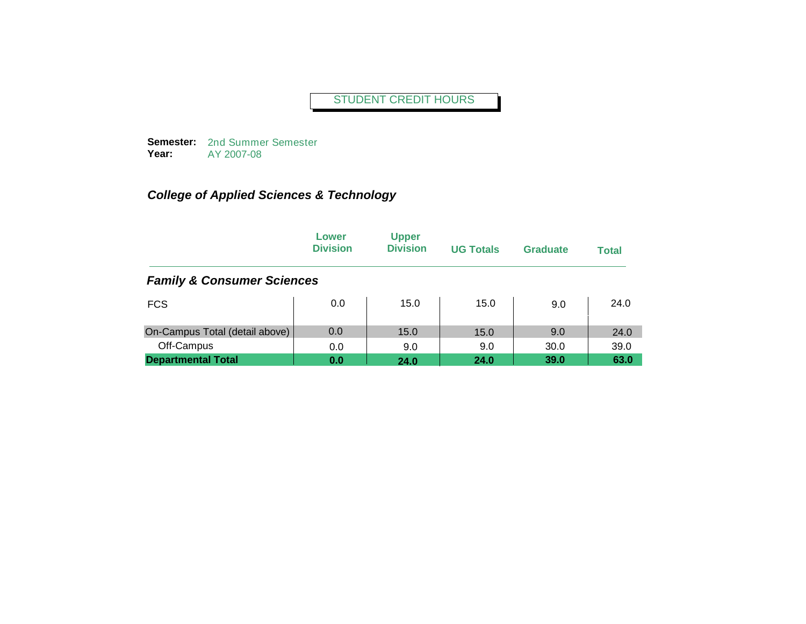**Semester:**  2nd Summer Semester **Year:** AY 2007-08

|                                       | Lower<br><b>Division</b> | <b>Upper</b><br><b>Division</b> | <b>UG Totals</b> | <b>Graduate</b> | <b>Total</b> |
|---------------------------------------|--------------------------|---------------------------------|------------------|-----------------|--------------|
| <b>Family &amp; Consumer Sciences</b> |                          |                                 |                  |                 |              |
| <b>FCS</b>                            | 0.0                      | 15.0                            | 15.0             | 9.0             | 24.0         |
| On-Campus Total (detail above)        | 0.0                      | 15.0                            | 15.0             | 9.0             | 24.0         |
| Off-Campus                            | 0.0                      | 9.0                             | 9.0              | 30.0            | 39.0         |
| <b>Departmental Total</b>             | 0.0                      | 24.0                            | 24.0             | 39.0            | 63.0         |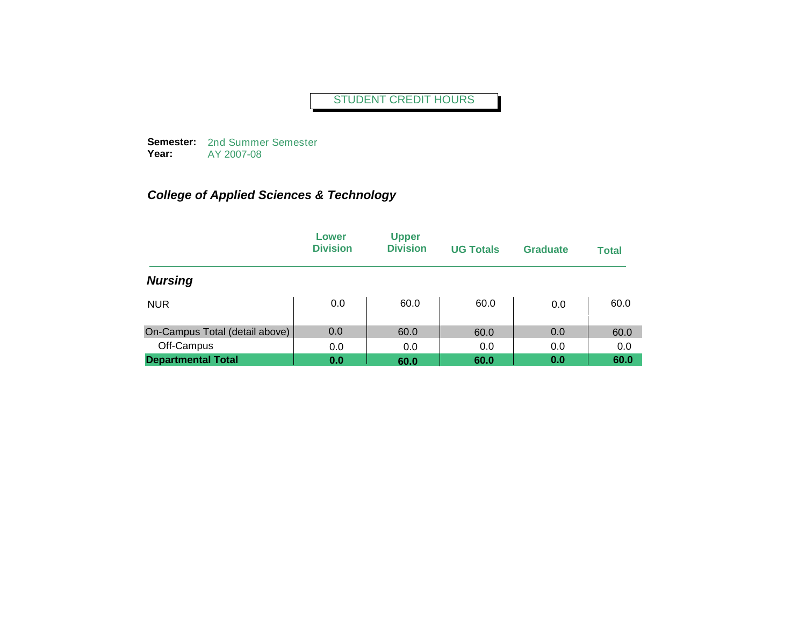**Semester:**  2nd Summer Semester **Year:** AY 2007-08

|                                | Lower<br><b>Division</b> | <b>Upper</b><br><b>Division</b> | <b>UG Totals</b> | <b>Graduate</b> | <b>Total</b> |
|--------------------------------|--------------------------|---------------------------------|------------------|-----------------|--------------|
| <b>Nursing</b>                 |                          |                                 |                  |                 |              |
| <b>NUR</b>                     | 0.0                      | 60.0                            | 60.0             | 0.0             | 60.0         |
| On-Campus Total (detail above) | 0.0                      | 60.0                            | 60.0             | 0.0             | 60.0         |
| Off-Campus                     | 0.0                      | 0.0                             | 0.0              | 0.0             | 0.0          |
| <b>Departmental Total</b>      | 0.0                      | 60.0                            | 60.0             | 0.0             | 60.0         |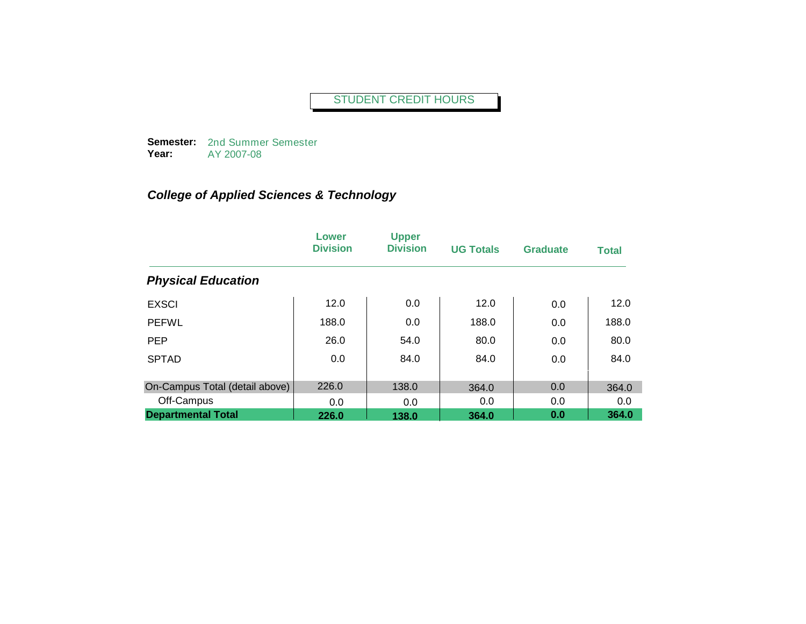**Semester:**  2nd Summer Semester **Year:** AY 2007-08

|                                | Lower<br><b>Division</b> | <b>Upper</b><br><b>Division</b> | <b>UG Totals</b> | <b>Graduate</b> | <b>Total</b> |
|--------------------------------|--------------------------|---------------------------------|------------------|-----------------|--------------|
| <b>Physical Education</b>      |                          |                                 |                  |                 |              |
| <b>EXSCI</b>                   | 12.0                     | 0.0                             | 12.0             | 0.0             | 12.0         |
| <b>PEFWL</b>                   | 188.0                    | 0.0                             | 188.0            | 0.0             | 188.0        |
| <b>PEP</b>                     | 26.0                     | 54.0                            | 80.0             | 0.0             | 80.0         |
| <b>SPTAD</b>                   | 0.0                      | 84.0                            | 84.0             | 0.0             | 84.0         |
| On-Campus Total (detail above) | 226.0                    | 138.0                           | 364.0            | 0.0             | 364.0        |
| Off-Campus                     | 0.0                      | 0.0                             | 0.0              | 0.0             | 0.0          |
| <b>Departmental Total</b>      | 226.0                    | 138.0                           | 364.0            | 0.0             | 364.0        |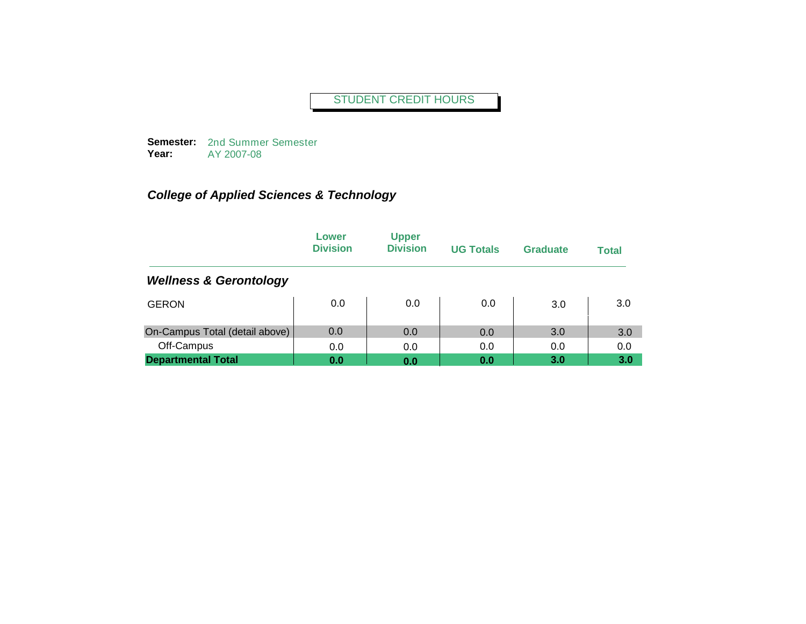**Semester:**  2nd Summer Semester **Year:** AY 2007-08

|                                   | Lower<br><b>Division</b> | <b>Upper</b><br><b>Division</b> | <b>UG Totals</b> | Graduate | <b>Total</b> |
|-----------------------------------|--------------------------|---------------------------------|------------------|----------|--------------|
| <b>Wellness &amp; Gerontology</b> |                          |                                 |                  |          |              |
| <b>GERON</b>                      | 0.0                      | 0.0                             | 0.0              | 3.0      | 3.0          |
| On-Campus Total (detail above)    | 0.0                      | 0.0                             | 0.0              | 3.0      | 3.0          |
| Off-Campus                        | 0.0                      | 0.0                             | 0.0              | 0.0      | 0.0          |
| <b>Departmental Total</b>         | 0.0                      | 0.0                             | 0.0              | 3.0      | 3.0          |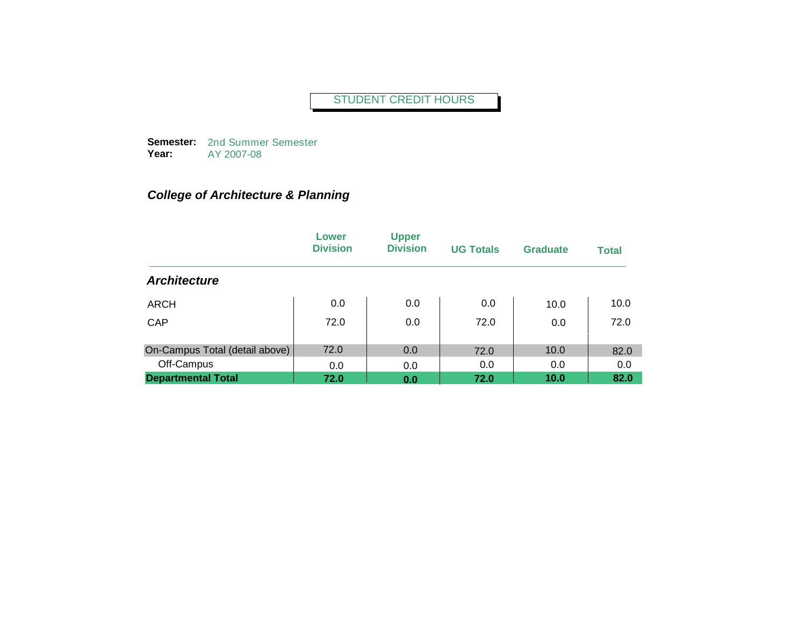**Semester:**  2nd Summer Semester **Year:** AY 2007-08

## *College of Architecture & Planning*

|                                | Lower<br><b>Division</b> | <b>Upper</b><br><b>Division</b> | <b>UG Totals</b> | <b>Graduate</b> | <b>Total</b> |
|--------------------------------|--------------------------|---------------------------------|------------------|-----------------|--------------|
| <b>Architecture</b>            |                          |                                 |                  |                 |              |
| <b>ARCH</b>                    | 0.0                      | 0.0                             | 0.0              | 10.0            | 10.0         |
| CAP                            | 72.0                     | 0.0                             | 72.0             | 0.0             | 72.0         |
| On-Campus Total (detail above) | 72.0                     | 0.0                             | 72.0             | 10.0            | 82.0         |
| Off-Campus                     | 0.0                      | 0.0                             | 0.0              | 0.0             | 0.0          |
| <b>Departmental Total</b>      | 72.0                     | 0.0                             | 72.0             | 10.0            | 82.0         |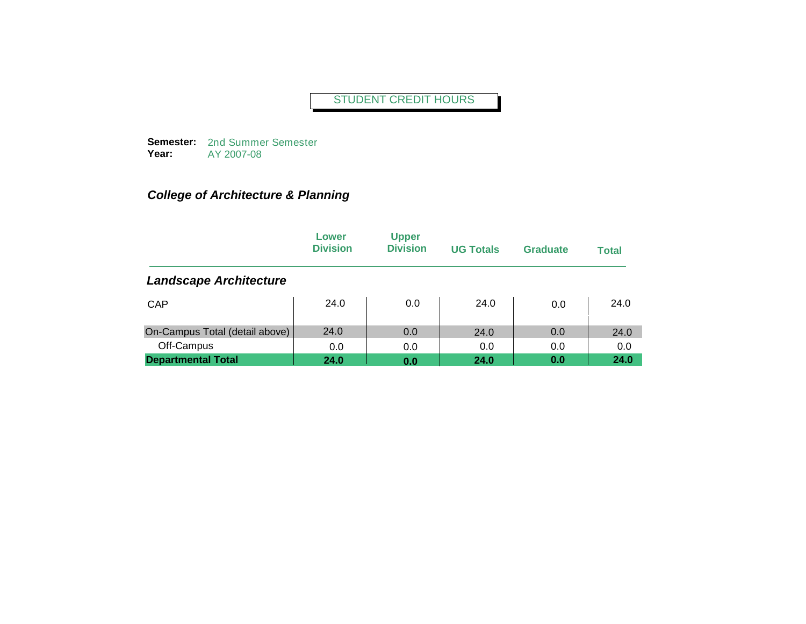**Semester:**  2nd Summer Semester **Year:** AY 2007-08

## *College of Architecture & Planning*

|                                | Lower<br><b>Division</b> | <b>Upper</b><br><b>Division</b> | <b>UG Totals</b> | <b>Graduate</b> | <b>Total</b> |
|--------------------------------|--------------------------|---------------------------------|------------------|-----------------|--------------|
| <b>Landscape Architecture</b>  |                          |                                 |                  |                 |              |
| <b>CAP</b>                     | 24.0                     | 0.0                             | 24.0             | 0.0             | 24.0         |
| On-Campus Total (detail above) | 24.0                     | 0.0                             | 24.0             | 0.0             | 24.0         |
| Off-Campus                     | 0.0                      | 0.0                             | 0.0              | 0.0             | 0.0          |
| <b>Departmental Total</b>      | 24.0                     | 0.0                             | 24.0             | 0.0             | 24.0         |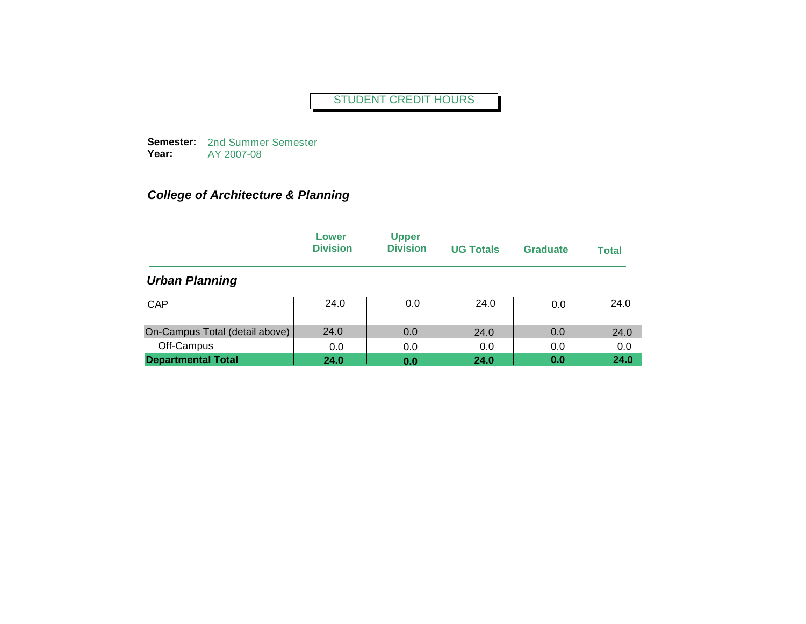**Semester:**  2nd Summer Semester **Year:** AY 2007-08

## *College of Architecture & Planning*

|                                | Lower<br><b>Division</b> | <b>Upper</b><br><b>Division</b> | <b>UG Totals</b> | <b>Graduate</b> | <b>Total</b> |
|--------------------------------|--------------------------|---------------------------------|------------------|-----------------|--------------|
| <b>Urban Planning</b>          |                          |                                 |                  |                 |              |
| <b>CAP</b>                     | 24.0                     | 0.0                             | 24.0             | 0.0             | 24.0         |
| On-Campus Total (detail above) | 24.0                     | 0.0                             | 24.0             | 0.0             | 24.0         |
| Off-Campus                     | 0.0                      | 0.0                             | 0.0              | 0.0             | 0.0          |
| <b>Departmental Total</b>      | 24.0                     | 0.0                             | 24.0             | 0.0             | 24.0         |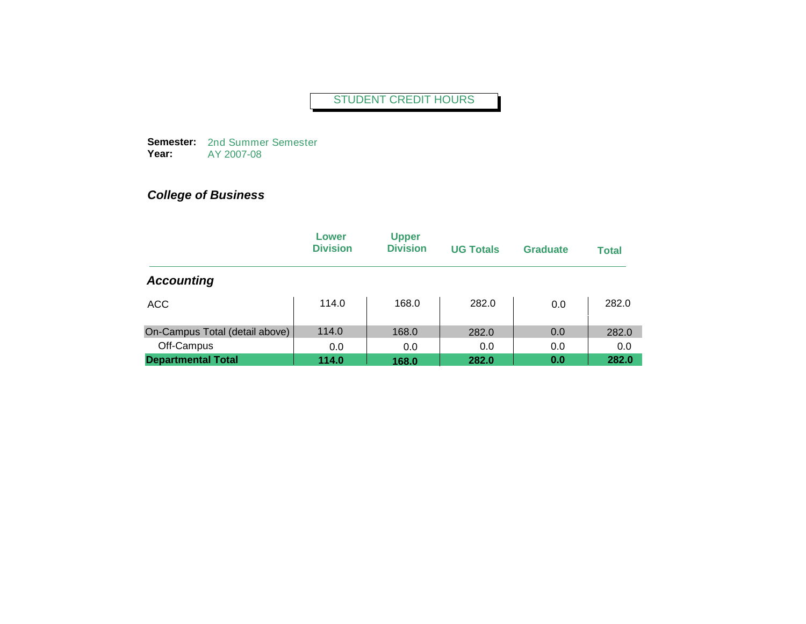**Semester:**  2nd Summer Semester **Year:** AY 2007-08

|                                | Lower<br><b>Division</b> | <b>Upper</b><br><b>Division</b> | <b>UG Totals</b> | <b>Graduate</b> | <b>Total</b> |
|--------------------------------|--------------------------|---------------------------------|------------------|-----------------|--------------|
| <b>Accounting</b>              |                          |                                 |                  |                 |              |
| ACC                            | 114.0                    | 168.0                           | 282.0            | 0.0             | 282.0        |
| On-Campus Total (detail above) | 114.0                    | 168.0                           | 282.0            | 0.0             | 282.0        |
| Off-Campus                     | 0.0                      | 0.0                             | 0.0              | 0.0             | 0.0          |
| <b>Departmental Total</b>      | 114.0                    | 168.0                           | 282.0            | 0.0             | 282.0        |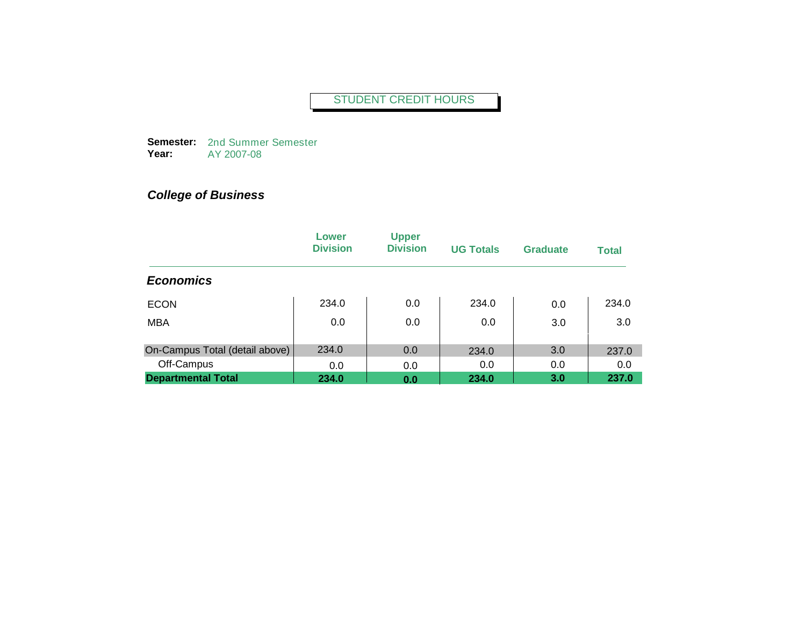**Semester:**  2nd Summer Semester **Year:** AY 2007-08

|                                | Lower<br><b>Division</b> | <b>Upper</b><br><b>Division</b> | <b>UG Totals</b> | <b>Graduate</b> | <b>Total</b> |
|--------------------------------|--------------------------|---------------------------------|------------------|-----------------|--------------|
| <b>Economics</b>               |                          |                                 |                  |                 |              |
| <b>ECON</b>                    | 234.0                    | 0.0                             | 234.0            | 0.0             | 234.0        |
| <b>MBA</b>                     | 0.0                      | 0.0                             | 0.0              | 3.0             | 3.0          |
| On-Campus Total (detail above) | 234.0                    | 0.0                             | 234.0            | 3.0             | 237.0        |
| Off-Campus                     | 0.0                      | 0.0                             | 0.0              | 0.0             | 0.0          |
| <b>Departmental Total</b>      | 234.0                    | 0.0                             | 234.0            | 3.0             | 237.0        |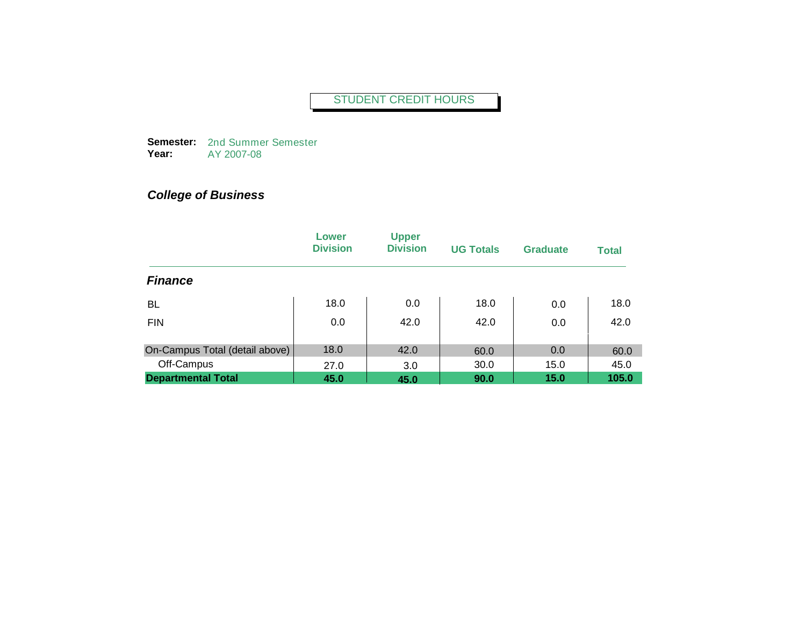**Semester:**  2nd Summer Semester **Year:** AY 2007-08

|                                | Lower<br><b>Division</b> | <b>Upper</b><br><b>Division</b> | <b>UG Totals</b> | <b>Graduate</b> | <b>Total</b> |
|--------------------------------|--------------------------|---------------------------------|------------------|-----------------|--------------|
| <b>Finance</b>                 |                          |                                 |                  |                 |              |
| <b>BL</b>                      | 18.0                     | 0.0                             | 18.0             | 0.0             | 18.0         |
| <b>FIN</b>                     | 0.0                      | 42.0                            | 42.0             | 0.0             | 42.0         |
| On-Campus Total (detail above) | 18.0                     | 42.0                            | 60.0             | 0.0             | 60.0         |
| Off-Campus                     | 27.0                     | 3.0                             | 30.0             | 15.0            | 45.0         |
| <b>Departmental Total</b>      | 45.0                     | 45.0                            | 90.0             | 15.0            | 105.0        |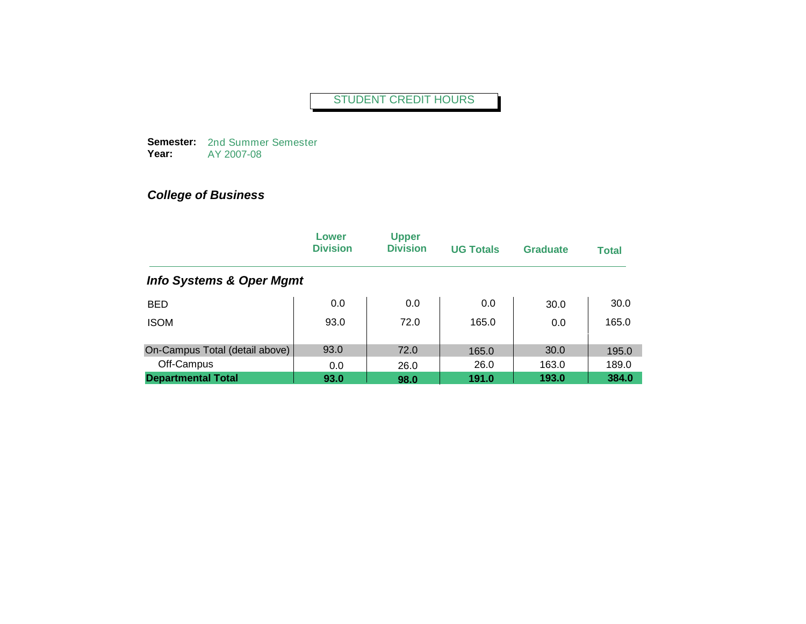**Semester:**  2nd Summer Semester **Year:** AY 2007-08

|                                     | Lower<br><b>Division</b> | <b>Upper</b><br><b>Division</b> | <b>UG Totals</b> | <b>Graduate</b> | <b>Total</b> |
|-------------------------------------|--------------------------|---------------------------------|------------------|-----------------|--------------|
| <b>Info Systems &amp; Oper Mgmt</b> |                          |                                 |                  |                 |              |
| <b>BED</b>                          | 0.0                      | 0.0                             | 0.0              | 30.0            | 30.0         |
| <b>ISOM</b>                         | 93.0                     | 72.0                            | 165.0            | 0.0             | 165.0        |
| On-Campus Total (detail above)      | 93.0                     | 72.0                            | 165.0            | 30.0            | 195.0        |
| Off-Campus                          | 0.0                      | 26.0                            | 26.0             | 163.0           | 189.0        |
| <b>Departmental Total</b>           | 93.0                     | 98.0                            | 191.0            | 193.0           | 384.0        |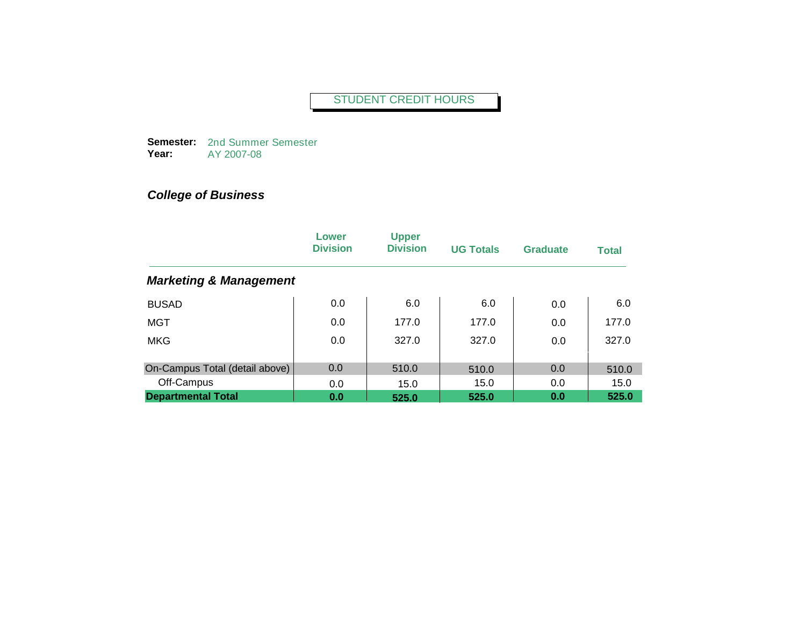**Semester:**  2nd Summer Semester **Year:** AY 2007-08

|                                   | Lower<br><b>Division</b> | <b>Upper</b><br><b>Division</b> | <b>UG Totals</b> | Graduate | <b>Total</b> |
|-----------------------------------|--------------------------|---------------------------------|------------------|----------|--------------|
| <b>Marketing &amp; Management</b> |                          |                                 |                  |          |              |
| <b>BUSAD</b>                      | 0.0                      | 6.0                             | 6.0              | 0.0      | 6.0          |
| <b>MGT</b>                        | 0.0                      | 177.0                           | 177.0            | 0.0      | 177.0        |
| <b>MKG</b>                        | 0.0                      | 327.0                           | 327.0            | 0.0      | 327.0        |
| On-Campus Total (detail above)    | 0.0                      | 510.0                           | 510.0            | 0.0      | 510.0        |
| Off-Campus                        | 0.0                      | 15.0                            | 15.0             | 0.0      | 15.0         |
| <b>Departmental Total</b>         | 0.0                      | 525.0                           | 525.0            | 0.0      | 525.0        |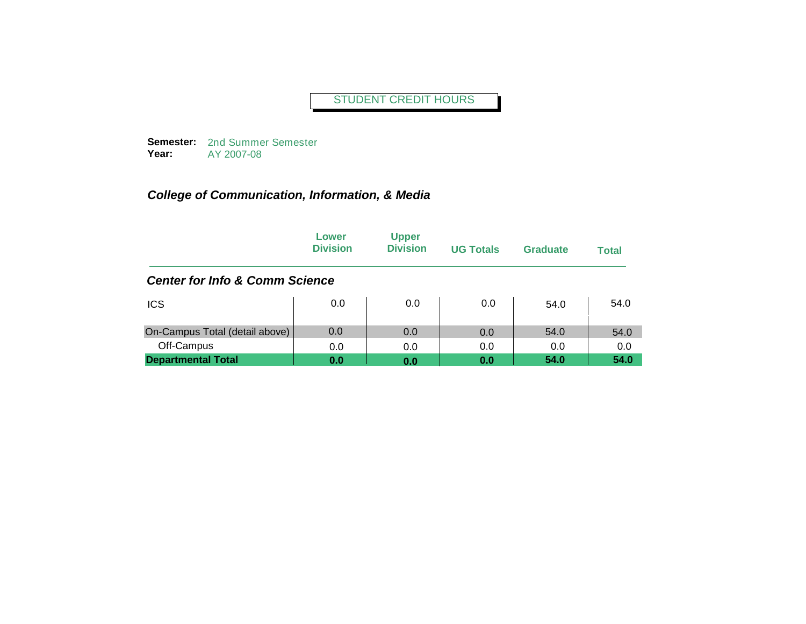**Semester:**  2nd Summer Semester **Year:** AY 2007-08

|                                           | Lower<br><b>Division</b> | <b>Upper</b><br><b>Division</b> | <b>UG Totals</b> | Graduate | <b>Total</b> |
|-------------------------------------------|--------------------------|---------------------------------|------------------|----------|--------------|
| <b>Center for Info &amp; Comm Science</b> |                          |                                 |                  |          |              |
| <b>ICS</b>                                | 0.0                      | 0.0                             | 0.0              | 54.0     | 54.0         |
| On-Campus Total (detail above)            | 0.0                      | 0.0                             | 0.0              | 54.0     | 54.0         |
| Off-Campus                                | 0.0                      | 0.0                             | 0.0              | 0.0      | 0.0          |
| <b>Departmental Total</b>                 | 0.0                      | 0.0                             | 0.0              | 54.0     | 54.0         |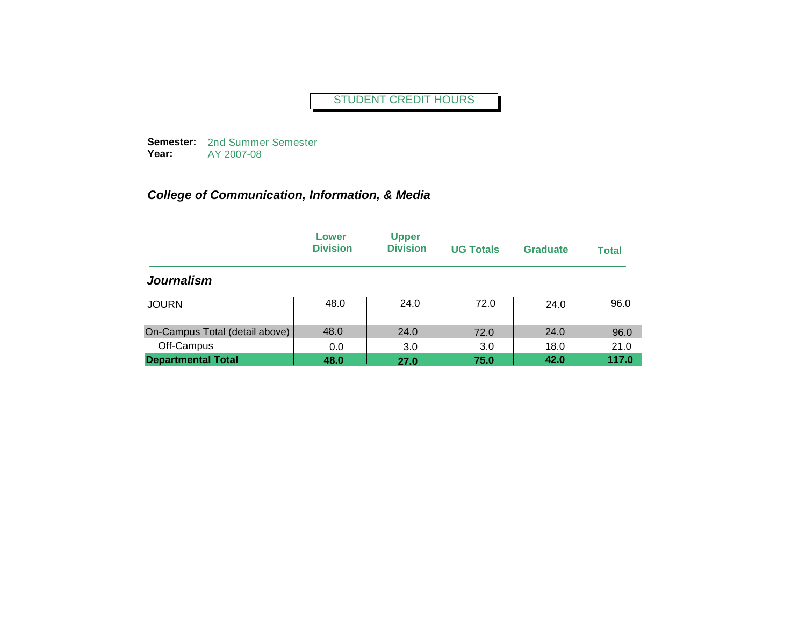**Semester:**  2nd Summer Semester **Year:** AY 2007-08

|                                | Lower<br><b>Division</b> | <b>Upper</b><br><b>Division</b> | <b>UG Totals</b> | <b>Graduate</b> | <b>Total</b> |
|--------------------------------|--------------------------|---------------------------------|------------------|-----------------|--------------|
| <b>Journalism</b>              |                          |                                 |                  |                 |              |
| <b>JOURN</b>                   | 48.0                     | 24.0                            | 72.0             | 24.0            | 96.0         |
| On-Campus Total (detail above) | 48.0                     | 24.0                            | 72.0             | 24.0            | 96.0         |
| Off-Campus                     | 0.0                      | 3.0                             | 3.0              | 18.0            | 21.0         |
| <b>Departmental Total</b>      | 48.0                     | 27.0                            | 75.0             | 42.0            | 117.0        |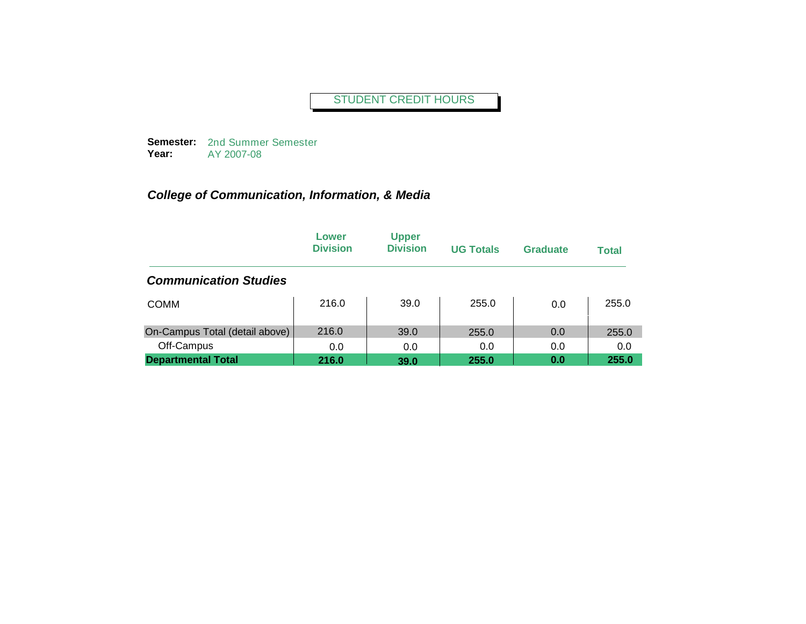**Semester:**  2nd Summer Semester **Year:** AY 2007-08

|                                | Lower<br><b>Division</b> | <b>Upper</b><br><b>Division</b> | <b>UG Totals</b> | <b>Graduate</b> | <b>Total</b> |
|--------------------------------|--------------------------|---------------------------------|------------------|-----------------|--------------|
| <b>Communication Studies</b>   |                          |                                 |                  |                 |              |
| <b>COMM</b>                    | 216.0                    | 39.0                            | 255.0            | 0.0             | 255.0        |
| On-Campus Total (detail above) | 216.0                    | 39.0                            | 255.0            | 0.0             | 255.0        |
| Off-Campus                     | 0.0                      | 0.0                             | 0.0              | 0.0             | 0.0          |
| <b>Departmental Total</b>      | 216.0                    | 39.0                            | 255.0            | 0.0             | 255.0        |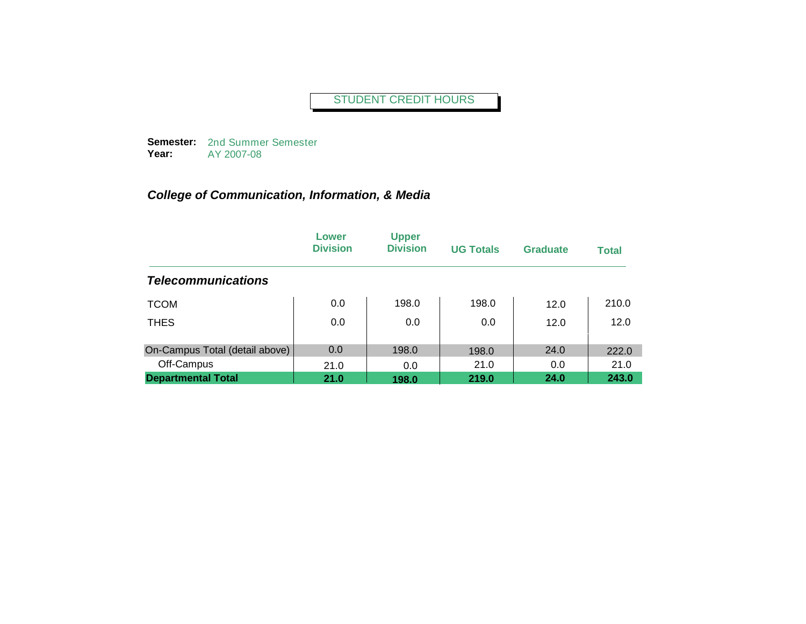**Semester:**  2nd Summer Semester **Year:** AY 2007-08

|                                | Lower<br><b>Division</b> | <b>Upper</b><br><b>Division</b> | <b>UG Totals</b> | <b>Graduate</b> | <b>Total</b> |
|--------------------------------|--------------------------|---------------------------------|------------------|-----------------|--------------|
| <b>Telecommunications</b>      |                          |                                 |                  |                 |              |
| <b>TCOM</b>                    | 0.0                      | 198.0                           | 198.0            | 12.0            | 210.0        |
| <b>THES</b>                    | 0.0                      | 0.0                             | 0.0              | 12.0            | 12.0         |
| On-Campus Total (detail above) | 0.0                      | 198.0                           | 198.0            | 24.0            | 222.0        |
| Off-Campus                     | 21.0                     | 0.0                             | 21.0             | 0.0             | 21.0         |
| <b>Departmental Total</b>      | 21.0                     | 198.0                           | 219.0            | 24.0            | 243.0        |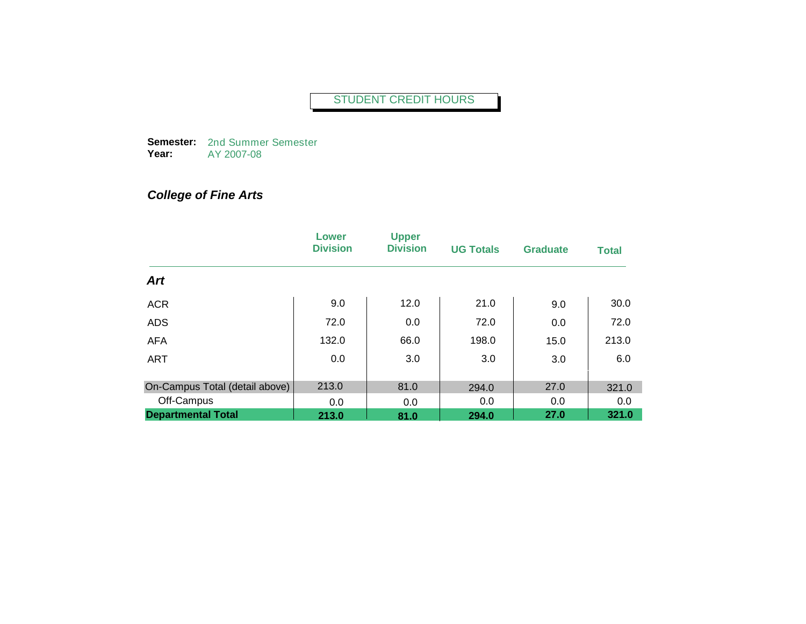**Semester:**  2nd Summer Semester **Year:** AY 2007-08

# *College of Fine Arts*

|                                | Lower<br><b>Division</b> | <b>Upper</b><br><b>Division</b> | <b>UG Totals</b> | <b>Graduate</b> | <b>Total</b> |
|--------------------------------|--------------------------|---------------------------------|------------------|-----------------|--------------|
| <b>Art</b>                     |                          |                                 |                  |                 |              |
| <b>ACR</b>                     | 9.0                      | 12.0                            | 21.0             | 9.0             | 30.0         |
| <b>ADS</b>                     | 72.0                     | 0.0                             | 72.0             | 0.0             | 72.0         |
| <b>AFA</b>                     | 132.0                    | 66.0                            | 198.0            | 15.0            | 213.0        |
| <b>ART</b>                     | 0.0                      | 3.0                             | 3.0              | 3.0             | 6.0          |
| On-Campus Total (detail above) | 213.0                    | 81.0                            | 294.0            | 27.0            | 321.0        |
| Off-Campus                     | 0.0                      | 0.0                             | 0.0              | 0.0             | 0.0          |
| <b>Departmental Total</b>      | 213.0                    | 81.0                            | 294.0            | 27.0            | 321.0        |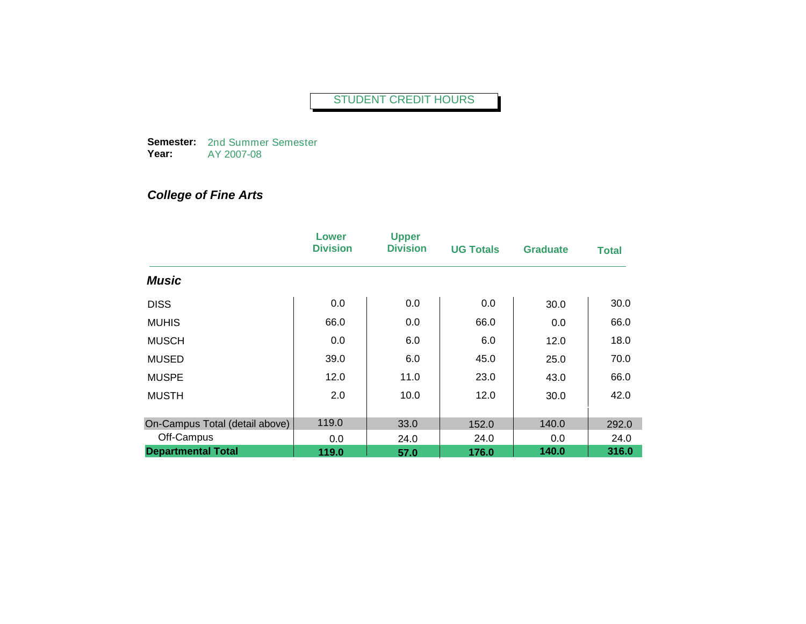**Semester:**  2nd Summer Semester **Year:** AY 2007-08

# *College of Fine Arts*

|                                | Lower<br><b>Division</b> | <b>Upper</b><br><b>Division</b> | <b>UG Totals</b> | <b>Graduate</b> | <b>Total</b> |
|--------------------------------|--------------------------|---------------------------------|------------------|-----------------|--------------|
| <b>Music</b>                   |                          |                                 |                  |                 |              |
| <b>DISS</b>                    | 0.0                      | 0.0                             | 0.0              | 30.0            | 30.0         |
| <b>MUHIS</b>                   | 66.0                     | 0.0                             | 66.0             | 0.0             | 66.0         |
| <b>MUSCH</b>                   | 0.0                      | 6.0                             | 6.0              | 12.0            | 18.0         |
| <b>MUSED</b>                   | 39.0                     | 6.0                             | 45.0             | 25.0            | 70.0         |
| <b>MUSPE</b>                   | 12.0                     | 11.0                            | 23.0             | 43.0            | 66.0         |
| <b>MUSTH</b>                   | 2.0                      | 10.0                            | 12.0             | 30.0            | 42.0         |
| On-Campus Total (detail above) | 119.0                    | 33.0                            | 152.0            | 140.0           | 292.0        |
| Off-Campus                     | 0.0                      | 24.0                            | 24.0             | 0.0             | 24.0         |
| <b>Departmental Total</b>      | 119.0                    | 57.0                            | 176.0            | 140.0           | 316.0        |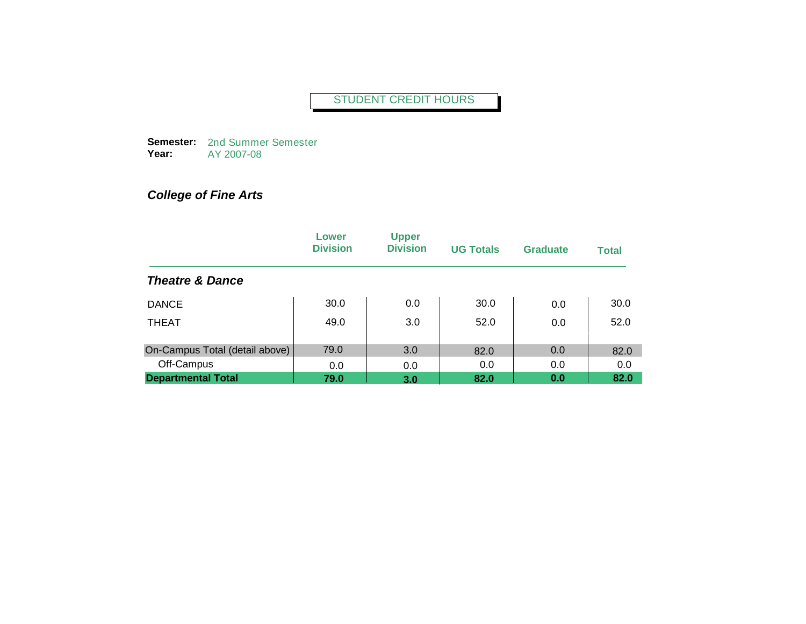**Semester:**  2nd Summer Semester **Year:** AY 2007-08

# *College of Fine Arts*

|                                | Lower<br><b>Division</b> | <b>Upper</b><br><b>Division</b> | <b>UG Totals</b> | <b>Graduate</b> | <b>Total</b> |
|--------------------------------|--------------------------|---------------------------------|------------------|-----------------|--------------|
| <b>Theatre &amp; Dance</b>     |                          |                                 |                  |                 |              |
| <b>DANCE</b>                   | 30.0                     | 0.0                             | 30.0             | 0.0             | 30.0         |
| <b>THEAT</b>                   | 49.0                     | 3.0                             | 52.0             | 0.0             | 52.0         |
| On-Campus Total (detail above) | 79.0                     | 3.0                             | 82.0             | 0.0             | 82.0         |
| Off-Campus                     | 0.0                      | 0.0                             | 0.0              | 0.0             | 0.0          |
| <b>Departmental Total</b>      | 79.0                     | 3.0                             | 82.0             | 0.0             | 82.0         |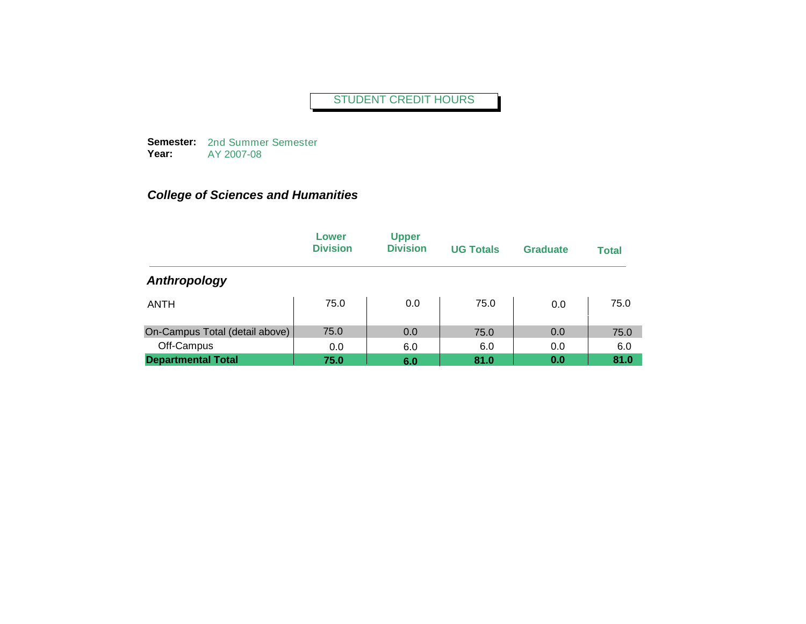**Semester:**  2nd Summer Semester **Year:** AY 2007-08

|                                | Lower<br><b>Division</b> | <b>Upper</b><br><b>Division</b> | <b>UG Totals</b> | <b>Graduate</b> | <b>Total</b> |
|--------------------------------|--------------------------|---------------------------------|------------------|-----------------|--------------|
| Anthropology                   |                          |                                 |                  |                 |              |
| ANTH                           | 75.0                     | 0.0                             | 75.0             | 0.0             | 75.0         |
| On-Campus Total (detail above) | 75.0                     | 0.0                             | 75.0             | 0.0             | 75.0         |
| Off-Campus                     | 0.0                      | 6.0                             | 6.0              | 0.0             | 6.0          |
| <b>Departmental Total</b>      | 75.0                     | 6.0                             | 81.0             | 0.0             | 81.0         |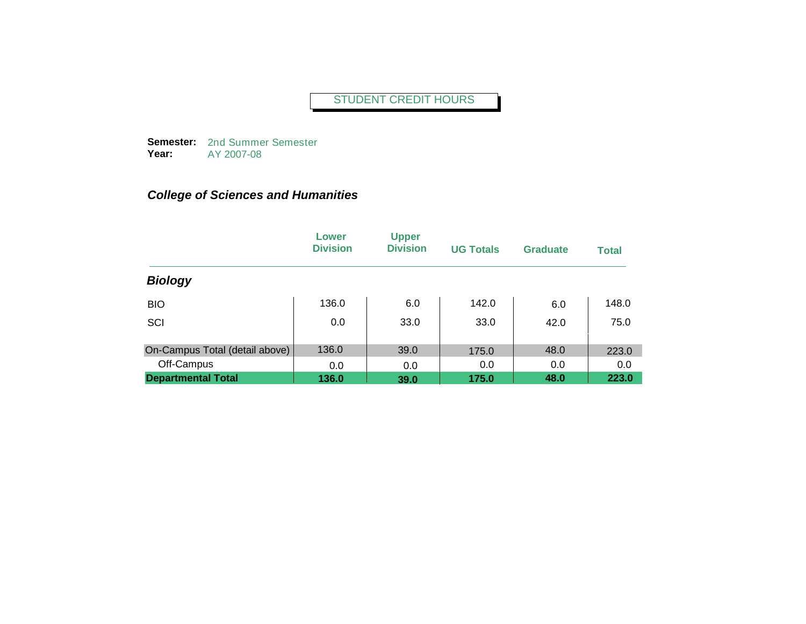**Semester:**  2nd Summer Semester **Year:** AY 2007-08

|                                | Lower<br><b>Division</b> | <b>Upper</b><br><b>Division</b> | <b>UG Totals</b> | <b>Graduate</b> | <b>Total</b> |
|--------------------------------|--------------------------|---------------------------------|------------------|-----------------|--------------|
| <b>Biology</b>                 |                          |                                 |                  |                 |              |
| <b>BIO</b>                     | 136.0                    | 6.0                             | 142.0            | 6.0             | 148.0        |
| SCI                            | 0.0                      | 33.0                            | 33.0             | 42.0            | 75.0         |
| On-Campus Total (detail above) | 136.0                    | 39.0                            | 175.0            | 48.0            | 223.0        |
| Off-Campus                     | 0.0                      | 0.0                             | 0.0              | 0.0             | 0.0          |
| <b>Departmental Total</b>      | 136.0                    | 39.0                            | 175.0            | 48.0            | 223.0        |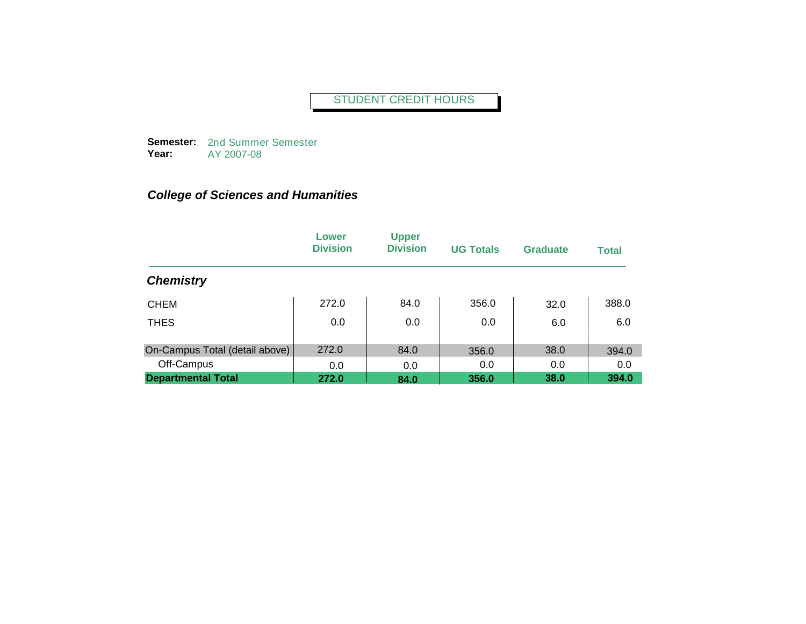**Semester:**  2nd Summer Semester **Year:** AY 2007-08

|                                | Lower<br><b>Division</b> | <b>Upper</b><br><b>Division</b> | <b>UG Totals</b> | <b>Graduate</b> | <b>Total</b> |
|--------------------------------|--------------------------|---------------------------------|------------------|-----------------|--------------|
| <b>Chemistry</b>               |                          |                                 |                  |                 |              |
| <b>CHEM</b>                    | 272.0                    | 84.0                            | 356.0            | 32.0            | 388.0        |
| <b>THES</b>                    | 0.0                      | 0.0                             | 0.0              | 6.0             | 6.0          |
| On-Campus Total (detail above) | 272.0                    | 84.0                            | 356.0            | 38.0            | 394.0        |
| Off-Campus                     | 0.0                      | 0.0                             | 0.0              | 0.0             | 0.0          |
| <b>Departmental Total</b>      | 272.0                    | 84.0                            | 356.0            | 38.0            | 394.0        |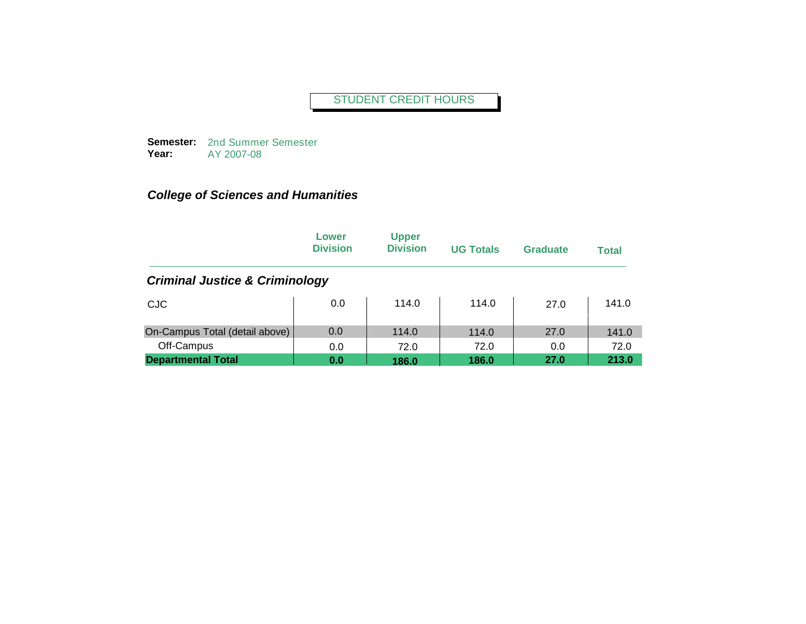**Semester:**  2nd Summer Semester **Year:** AY 2007-08

|                                           | Lower<br><b>Division</b> | <b>Upper</b><br><b>Division</b> | <b>UG Totals</b> | <b>Graduate</b> | <b>Total</b> |
|-------------------------------------------|--------------------------|---------------------------------|------------------|-----------------|--------------|
| <b>Criminal Justice &amp; Criminology</b> |                          |                                 |                  |                 |              |
| <b>CJC</b>                                | 0.0                      | 114.0                           | 114.0            | 27.0            | 141.0        |
| On-Campus Total (detail above)            | 0.0                      | 114.0                           | 114.0            | 27.0            | 141.0        |
| Off-Campus                                | 0.0                      | 72.0                            | 72.0             | 0.0             | 72.0         |
| <b>Departmental Total</b>                 | 0.0                      | 186.0                           | 186.0            | 27.0            | 213.0        |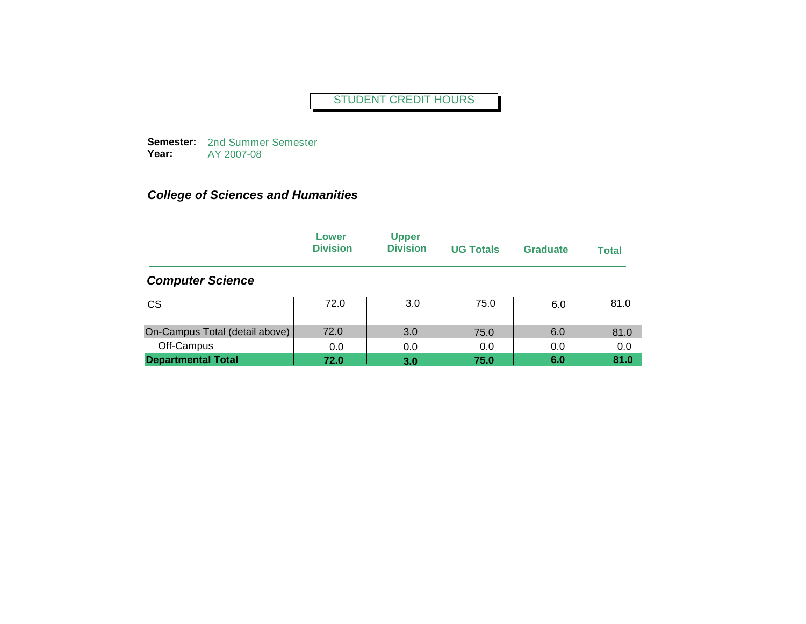**Semester:**  2nd Summer Semester **Year:** AY 2007-08

|                                | Lower<br><b>Division</b> | <b>Upper</b><br><b>Division</b> | <b>UG Totals</b> | <b>Graduate</b> | <b>Total</b> |
|--------------------------------|--------------------------|---------------------------------|------------------|-----------------|--------------|
| <b>Computer Science</b>        |                          |                                 |                  |                 |              |
| <b>CS</b>                      | 72.0                     | 3.0                             | 75.0             | 6.0             | 81.0         |
| On-Campus Total (detail above) | 72.0                     | 3.0                             | 75.0             | 6.0             | 81.0         |
| Off-Campus                     | 0.0                      | 0.0                             | 0.0              | 0.0             | 0.0          |
| <b>Departmental Total</b>      | 72.0                     | 3.0                             | 75.0             | 6.0             | 81.0         |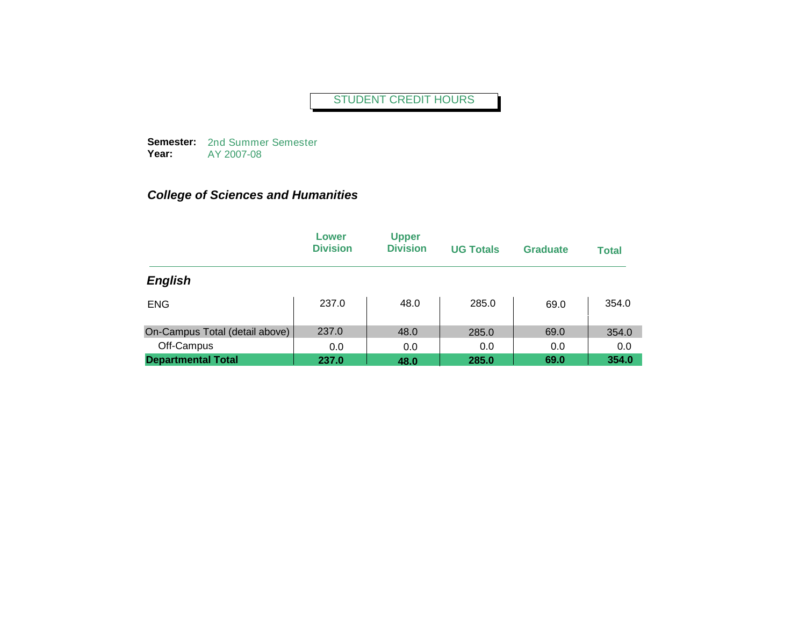**Semester:**  2nd Summer Semester **Year:** AY 2007-08

|                                | Lower<br><b>Division</b> | <b>Upper</b><br><b>Division</b> | <b>UG Totals</b> | <b>Graduate</b> | <b>Total</b> |
|--------------------------------|--------------------------|---------------------------------|------------------|-----------------|--------------|
| <b>English</b>                 |                          |                                 |                  |                 |              |
| <b>ENG</b>                     | 237.0                    | 48.0                            | 285.0            | 69.0            | 354.0        |
| On-Campus Total (detail above) | 237.0                    | 48.0                            | 285.0            | 69.0            | 354.0        |
| Off-Campus                     | 0.0                      | 0.0                             | 0.0              | 0.0             | 0.0          |
| <b>Departmental Total</b>      | 237.0                    | 48.0                            | 285.0            | 69.0            | 354.0        |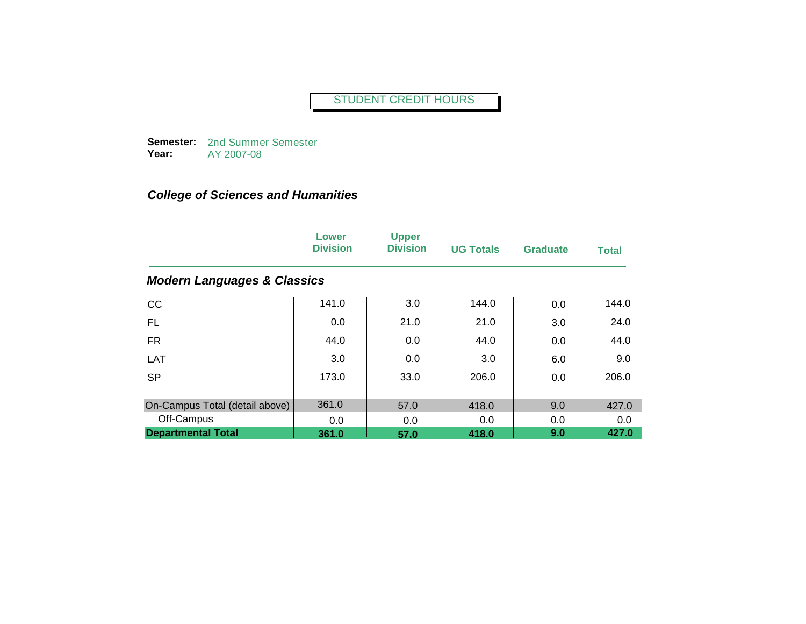**Semester:**  2nd Summer Semester **Year:** AY 2007-08

|                                        | Lower<br><b>Division</b> | <b>Upper</b><br><b>Division</b> | <b>UG Totals</b> | <b>Graduate</b> | <b>Total</b> |
|----------------------------------------|--------------------------|---------------------------------|------------------|-----------------|--------------|
| <b>Modern Languages &amp; Classics</b> |                          |                                 |                  |                 |              |
| CC                                     | 141.0                    | 3.0                             | 144.0            | 0.0             | 144.0        |
| FL.                                    | 0.0                      | 21.0                            | 21.0             | 3.0             | 24.0         |
| <b>FR</b>                              | 44.0                     | 0.0                             | 44.0             | 0.0             | 44.0         |
| LAT                                    | 3.0                      | 0.0                             | 3.0              | 6.0             | 9.0          |
| <b>SP</b>                              | 173.0                    | 33.0                            | 206.0            | 0.0             | 206.0        |
| On-Campus Total (detail above)         | 361.0                    | 57.0                            | 418.0            | 9.0             | 427.0        |
| Off-Campus                             | 0.0                      | 0.0                             | 0.0              | 0.0             | 0.0          |
| <b>Departmental Total</b>              | 361.0                    | 57.0                            | 418.0            | 9.0             | 427.0        |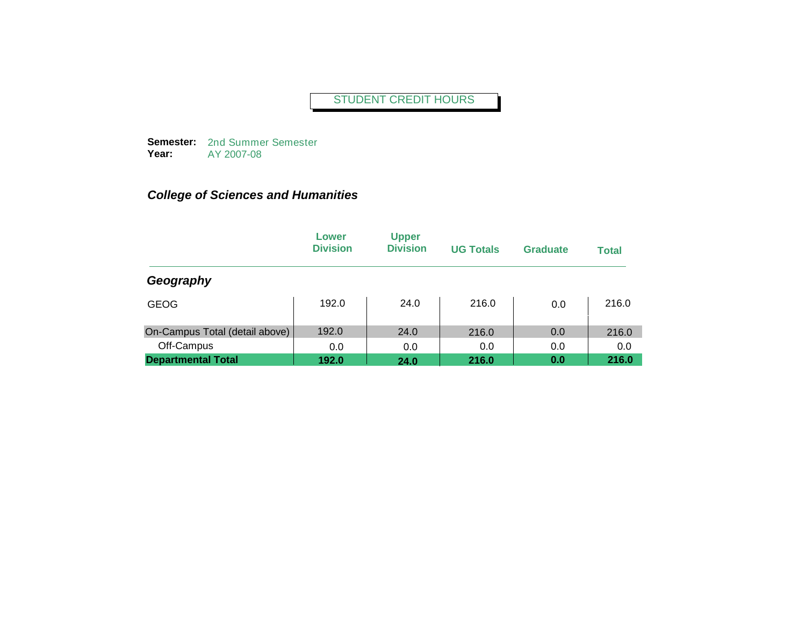**Semester:**  2nd Summer Semester **Year:** AY 2007-08

|                                | Lower<br><b>Division</b> | <b>Upper</b><br><b>Division</b> | <b>UG Totals</b> | <b>Graduate</b> | <b>Total</b> |
|--------------------------------|--------------------------|---------------------------------|------------------|-----------------|--------------|
| Geography                      |                          |                                 |                  |                 |              |
| <b>GEOG</b>                    | 192.0                    | 24.0                            | 216.0            | 0.0             | 216.0        |
| On-Campus Total (detail above) | 192.0                    | 24.0                            | 216.0            | 0.0             | 216.0        |
| Off-Campus                     | 0.0                      | 0.0                             | 0.0              | 0.0             | 0.0          |
| <b>Departmental Total</b>      | 192.0                    | 24.0                            | 216.0            | 0.0             | 216.0        |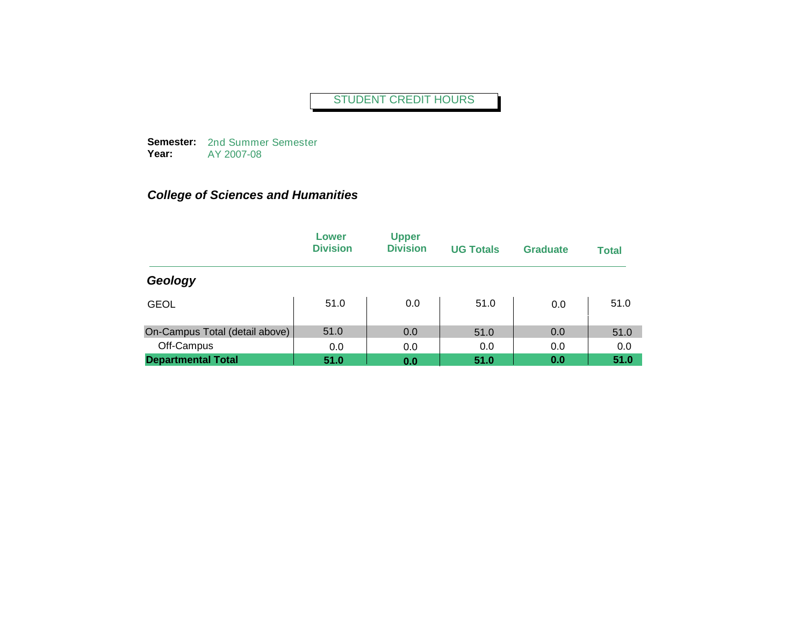**Semester:**  2nd Summer Semester **Year:** AY 2007-08

|                                | Lower<br><b>Division</b> | <b>Upper</b><br><b>Division</b> | <b>UG Totals</b> | <b>Graduate</b> | <b>Total</b> |
|--------------------------------|--------------------------|---------------------------------|------------------|-----------------|--------------|
| Geology                        |                          |                                 |                  |                 |              |
| <b>GEOL</b>                    | 51.0                     | 0.0                             | 51.0             | 0.0             | 51.0         |
| On-Campus Total (detail above) | 51.0                     | 0.0                             | 51.0             | 0.0             | 51.0         |
| Off-Campus                     | 0.0                      | 0.0                             | 0.0              | 0.0             | 0.0          |
| <b>Departmental Total</b>      | 51.0                     | 0.0                             | 51.0             | 0.0             | 51.0         |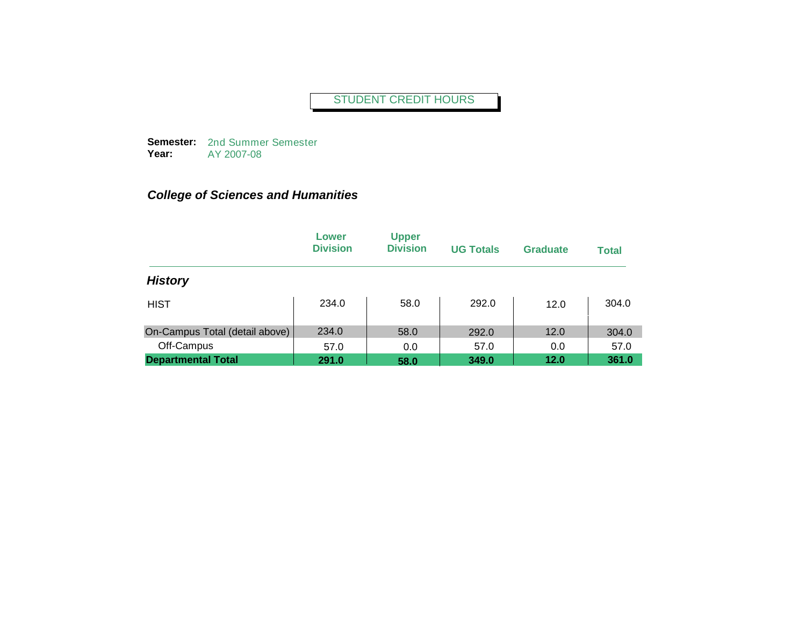**Semester:**  2nd Summer Semester **Year:** AY 2007-08

|                                | Lower<br><b>Division</b> | <b>Upper</b><br><b>Division</b> | <b>UG Totals</b> | <b>Graduate</b> | <b>Total</b> |
|--------------------------------|--------------------------|---------------------------------|------------------|-----------------|--------------|
| <b>History</b>                 |                          |                                 |                  |                 |              |
| <b>HIST</b>                    | 234.0                    | 58.0                            | 292.0            | 12.0            | 304.0        |
| On-Campus Total (detail above) | 234.0                    | 58.0                            | 292.0            | 12.0            | 304.0        |
| Off-Campus                     | 57.0                     | 0.0                             | 57.0             | 0.0             | 57.0         |
| <b>Departmental Total</b>      | 291.0                    | 58.0                            | 349.0            | 12.0            | 361.0        |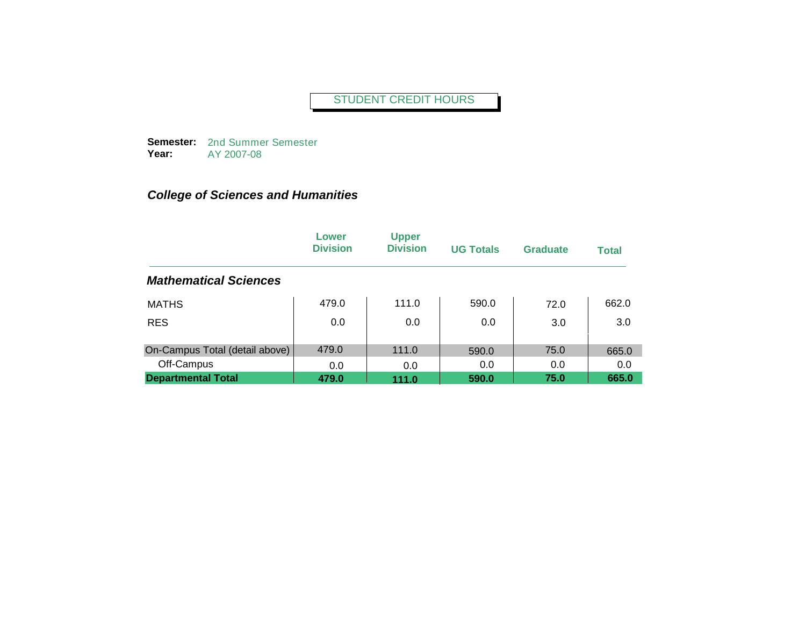**Semester:**  2nd Summer Semester **Year:** AY 2007-08

|                                | Lower<br><b>Division</b> | <b>Upper</b><br><b>Division</b> | <b>UG Totals</b> | <b>Graduate</b> | <b>Total</b> |
|--------------------------------|--------------------------|---------------------------------|------------------|-----------------|--------------|
| <b>Mathematical Sciences</b>   |                          |                                 |                  |                 |              |
| <b>MATHS</b>                   | 479.0                    | 111.0                           | 590.0            | 72.0            | 662.0        |
| <b>RES</b>                     | 0.0                      | 0.0                             | 0.0              | 3.0             | 3.0          |
| On-Campus Total (detail above) | 479.0                    | 111.0                           | 590.0            | 75.0            | 665.0        |
| Off-Campus                     | 0.0                      | 0.0                             | 0.0              | 0.0             | 0.0          |
| <b>Departmental Total</b>      | 479.0                    | 111.0                           | 590.0            | 75.0            | 665.0        |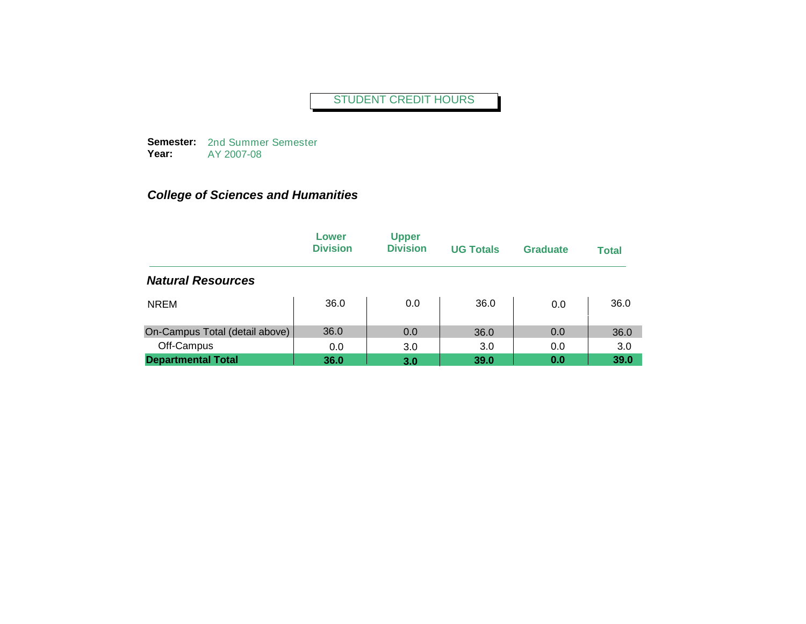**Semester:**  2nd Summer Semester **Year:** AY 2007-08

|                                | Lower<br><b>Division</b> | <b>Upper</b><br><b>Division</b> | <b>UG Totals</b> | <b>Graduate</b> | <b>Total</b> |
|--------------------------------|--------------------------|---------------------------------|------------------|-----------------|--------------|
| <b>Natural Resources</b>       |                          |                                 |                  |                 |              |
| <b>NREM</b>                    | 36.0                     | 0.0                             | 36.0             | 0.0             | 36.0         |
| On-Campus Total (detail above) | 36.0                     | 0.0                             | 36.0             | 0.0             | 36.0         |
| Off-Campus                     | 0.0                      | 3.0                             | 3.0              | 0.0             | 3.0          |
| <b>Departmental Total</b>      | 36.0                     | 3.0                             | 39.0             | 0.0             | 39.0         |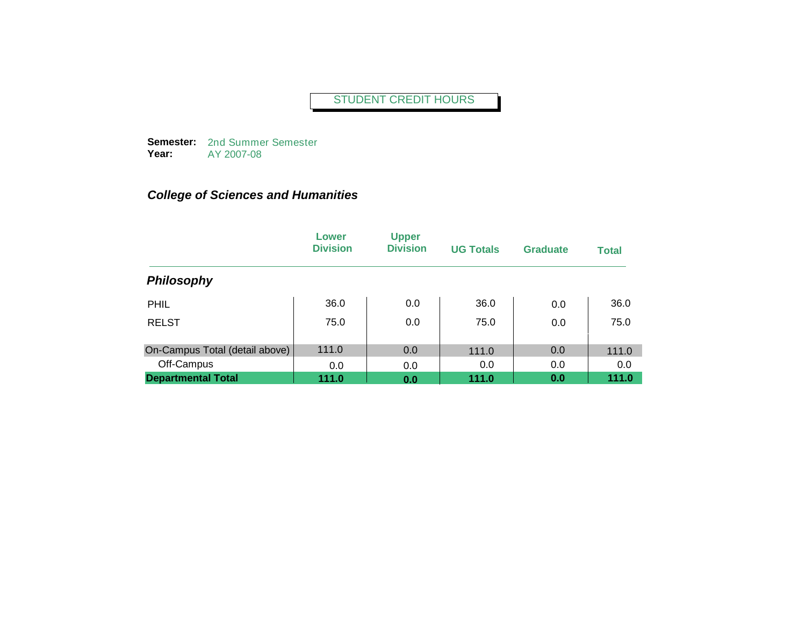**Semester:**  2nd Summer Semester **Year:** AY 2007-08

|                                | Lower<br><b>Division</b> | <b>Upper</b><br><b>Division</b> | <b>UG Totals</b> | <b>Graduate</b> | <b>Total</b> |
|--------------------------------|--------------------------|---------------------------------|------------------|-----------------|--------------|
| <b>Philosophy</b>              |                          |                                 |                  |                 |              |
| <b>PHIL</b>                    | 36.0                     | 0.0                             | 36.0             | 0.0             | 36.0         |
| <b>RELST</b>                   | 75.0                     | 0.0                             | 75.0             | 0.0             | 75.0         |
| On-Campus Total (detail above) | 111.0                    | 0.0                             | 111.0            | 0.0             | 111.0        |
| Off-Campus                     | 0.0                      | 0.0                             | 0.0              | 0.0             | 0.0          |
| <b>Departmental Total</b>      | 111.0                    | 0.0                             | 111.0            | 0.0             | 111.0        |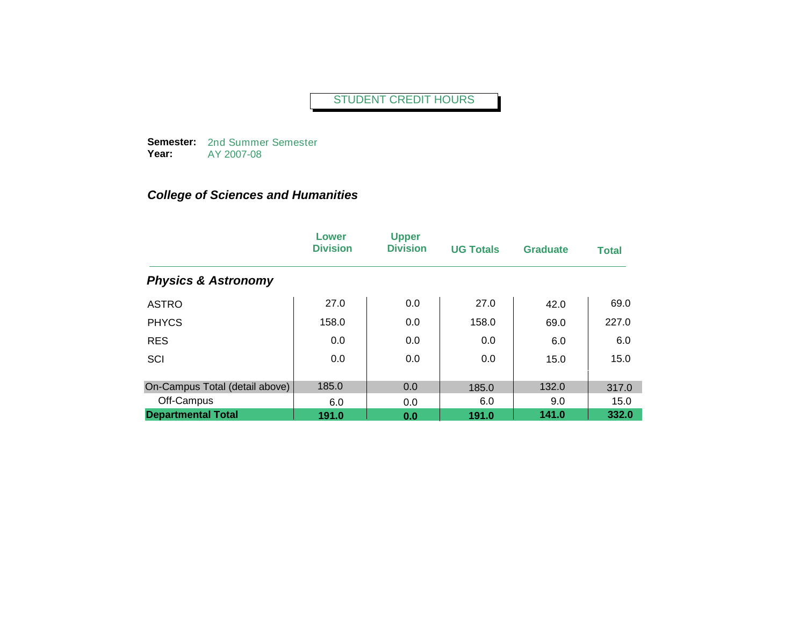**Semester:**  2nd Summer Semester **Year:** AY 2007-08

|                                | Lower<br><b>Division</b> | <b>Upper</b><br><b>Division</b> | <b>UG Totals</b> | <b>Graduate</b> | <b>Total</b> |
|--------------------------------|--------------------------|---------------------------------|------------------|-----------------|--------------|
| <b>Physics &amp; Astronomy</b> |                          |                                 |                  |                 |              |
| <b>ASTRO</b>                   | 27.0                     | 0.0                             | 27.0             | 42.0            | 69.0         |
| <b>PHYCS</b>                   | 158.0                    | 0.0                             | 158.0            | 69.0            | 227.0        |
| <b>RES</b>                     | 0.0                      | 0.0                             | 0.0              | 6.0             | 6.0          |
| SCI                            | 0.0                      | 0.0                             | 0.0              | 15.0            | 15.0         |
| On-Campus Total (detail above) | 185.0                    | 0.0                             | 185.0            | 132.0           | 317.0        |
| Off-Campus                     | 6.0                      | 0.0                             | 6.0              | 9.0             | 15.0         |
| <b>Departmental Total</b>      | 191.0                    | 0.0                             | 191.0            | 141.0           | 332.0        |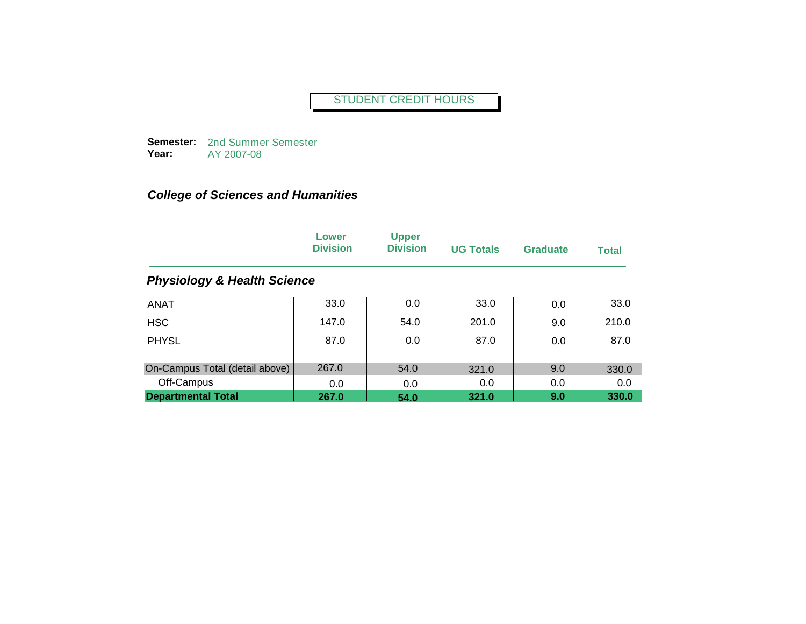**Semester:**  2nd Summer Semester **Year:** AY 2007-08

|                                        | Lower<br><b>Division</b> | <b>Upper</b><br><b>Division</b> | <b>UG Totals</b> | <b>Graduate</b> | <b>Total</b> |
|----------------------------------------|--------------------------|---------------------------------|------------------|-----------------|--------------|
| <b>Physiology &amp; Health Science</b> |                          |                                 |                  |                 |              |
| <b>ANAT</b>                            | 33.0                     | 0.0                             | 33.0             | 0.0             | 33.0         |
| <b>HSC</b>                             | 147.0                    | 54.0                            | 201.0            | 9.0             | 210.0        |
| <b>PHYSL</b>                           | 87.0                     | 0.0                             | 87.0             | 0.0             | 87.0         |
| On-Campus Total (detail above)         | 267.0                    | 54.0                            | 321.0            | 9.0             | 330.0        |
| Off-Campus                             | 0.0                      | 0.0                             | 0.0              | 0.0             | 0.0          |
| <b>Departmental Total</b>              | 267.0                    | 54.0                            | 321.0            | 9.0             | 330.0        |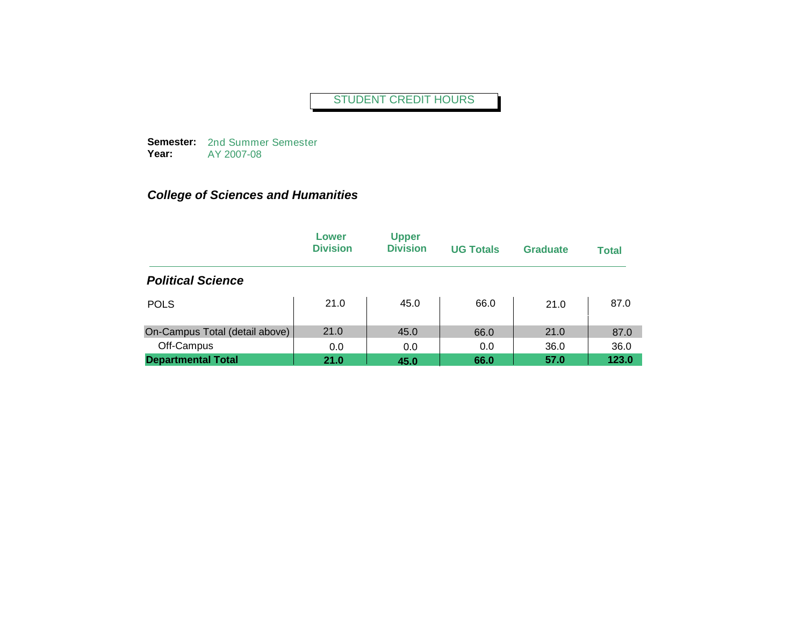**Semester:**  2nd Summer Semester **Year:** AY 2007-08

|                                | Lower<br><b>Division</b> | <b>Upper</b><br><b>Division</b> | <b>UG Totals</b> | <b>Graduate</b> | <b>Total</b> |
|--------------------------------|--------------------------|---------------------------------|------------------|-----------------|--------------|
| <b>Political Science</b>       |                          |                                 |                  |                 |              |
| <b>POLS</b>                    | 21.0                     | 45.0                            | 66.0             | 21.0            | 87.0         |
| On-Campus Total (detail above) | 21.0                     | 45.0                            | 66.0             | 21.0            | 87.0         |
| Off-Campus                     | 0.0                      | 0.0                             | 0.0              | 36.0            | 36.0         |
| <b>Departmental Total</b>      | 21.0                     | 45.0                            | 66.0             | 57.0            | 123.0        |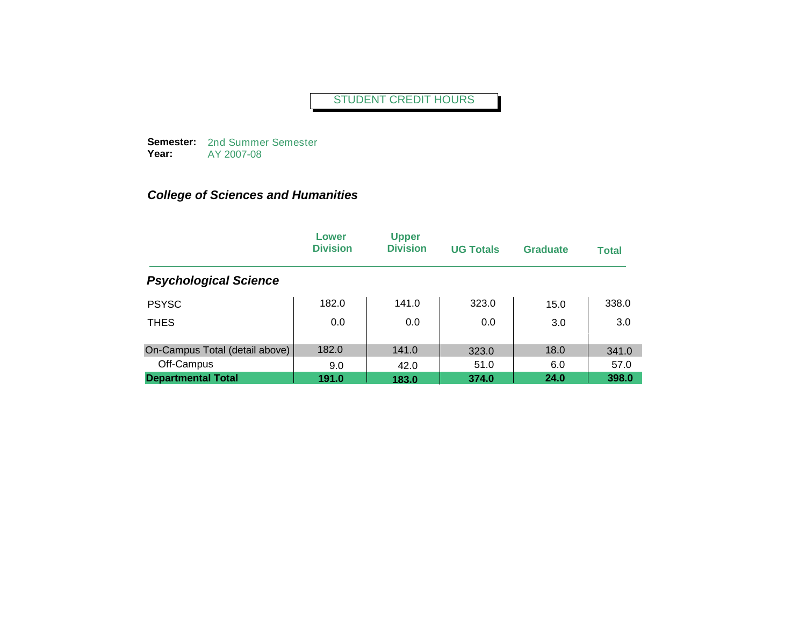**Semester:**  2nd Summer Semester **Year:** AY 2007-08

|                                | Lower<br><b>Division</b> | <b>Upper</b><br><b>Division</b> | <b>UG Totals</b> | <b>Graduate</b> | <b>Total</b> |
|--------------------------------|--------------------------|---------------------------------|------------------|-----------------|--------------|
| <b>Psychological Science</b>   |                          |                                 |                  |                 |              |
| <b>PSYSC</b>                   | 182.0                    | 141.0                           | 323.0            | 15.0            | 338.0        |
| <b>THES</b>                    | 0.0                      | 0.0                             | 0.0              | 3.0             | 3.0          |
| On-Campus Total (detail above) | 182.0                    | 141.0                           | 323.0            | 18.0            | 341.0        |
| Off-Campus                     | 9.0                      | 42.0                            | 51.0             | 6.0             | 57.0         |
| <b>Departmental Total</b>      | 191.0                    | 183.0                           | 374.0            | 24.0            | 398.0        |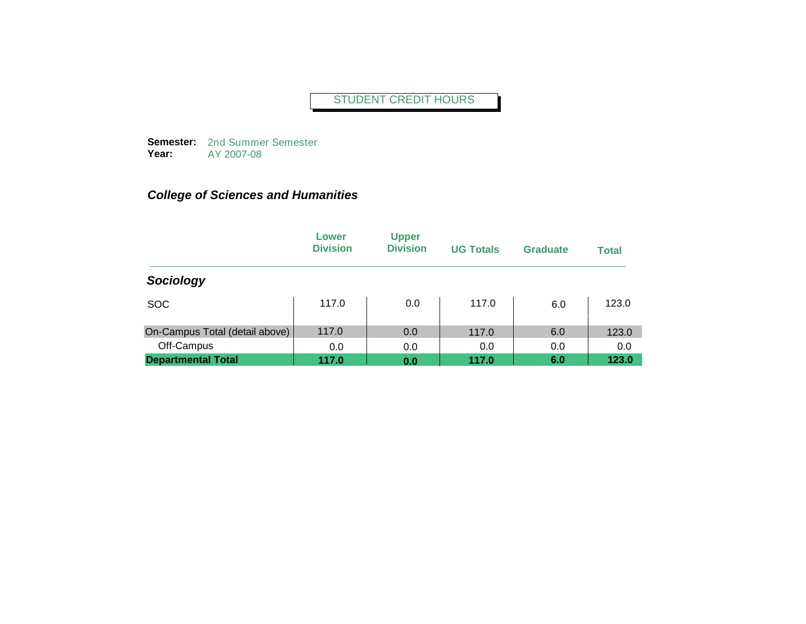**Semester:**  2nd Summer Semester **Year:** AY 2007-08

|                                | Lower<br><b>Division</b> | <b>Upper</b><br><b>Division</b> | <b>UG Totals</b> | <b>Graduate</b> | <b>Total</b> |
|--------------------------------|--------------------------|---------------------------------|------------------|-----------------|--------------|
| Sociology                      |                          |                                 |                  |                 |              |
| <b>SOC</b>                     | 117.0                    | 0.0                             | 117.0            | 6.0             | 123.0        |
| On-Campus Total (detail above) | 117.0                    | 0.0                             | 117.0            | 6.0             | 123.0        |
| Off-Campus                     | 0.0                      | 0.0                             | 0.0              | 0.0             | 0.0          |
| <b>Departmental Total</b>      | 117.0                    | 0.0                             | 117.0            | 6.0             | 123.0        |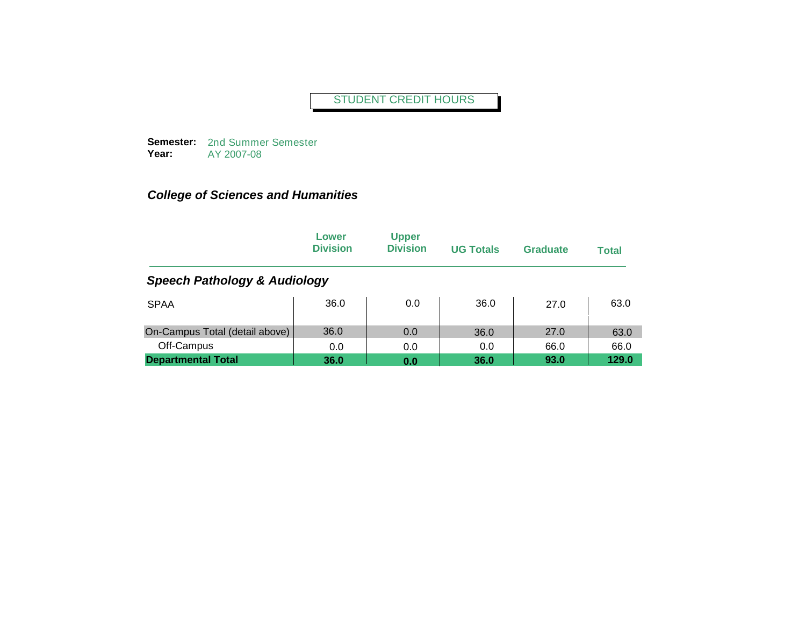**Semester:**  2nd Summer Semester **Year:** AY 2007-08

|                                         | Lower<br><b>Division</b> | <b>Upper</b><br><b>Division</b> | <b>UG Totals</b> | Graduate | <b>Total</b> |  |  |  |
|-----------------------------------------|--------------------------|---------------------------------|------------------|----------|--------------|--|--|--|
| <b>Speech Pathology &amp; Audiology</b> |                          |                                 |                  |          |              |  |  |  |
| <b>SPAA</b>                             | 36.0                     | 0.0                             | 36.0             | 27.0     | 63.0         |  |  |  |
| On-Campus Total (detail above)          | 36.0                     | 0.0                             | 36.0             | 27.0     | 63.0         |  |  |  |
| Off-Campus                              | 0.0                      | 0.0                             | 0.0              | 66.0     | 66.0         |  |  |  |
| <b>Departmental Total</b>               | 36.0                     | 0.0                             | 36.0             | 93.0     | 129.0        |  |  |  |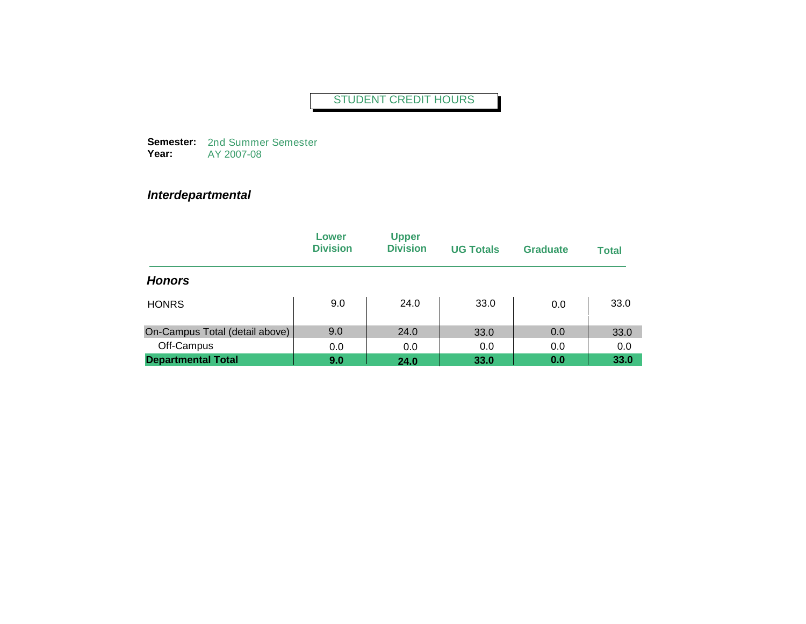**Semester:**  2nd Summer Semester **Year:** AY 2007-08

## *Interdepartmental*

|                                | Lower<br><b>Division</b> | <b>Upper</b><br><b>Division</b> | <b>UG Totals</b> | Graduate | <b>Total</b> |
|--------------------------------|--------------------------|---------------------------------|------------------|----------|--------------|
| <b>Honors</b>                  |                          |                                 |                  |          |              |
| <b>HONRS</b>                   | 9.0                      | 24.0                            | 33.0             | 0.0      | 33.0         |
| On-Campus Total (detail above) | 9.0                      | 24.0                            | 33.0             | 0.0      | 33.0         |
| Off-Campus                     | 0.0                      | 0.0                             | 0.0              | 0.0      | 0.0          |
| <b>Departmental Total</b>      | 9.0                      | 24.0                            | 33.0             | 0.0      | 33.0         |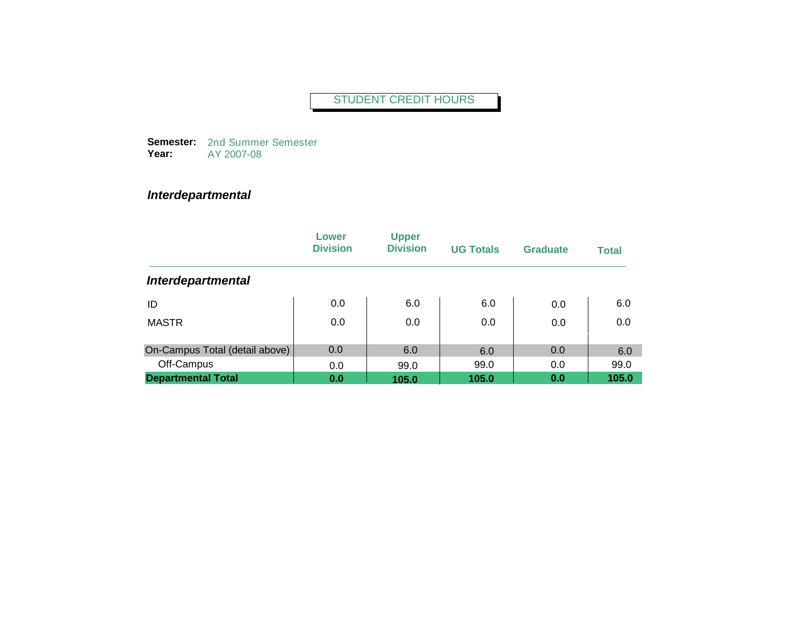**Semester:**  2nd Summer Semester **Year:** AY 2007-08

## *Interdepartmental*

|                                | Lower<br><b>Division</b> | <b>Upper</b><br><b>Division</b> | <b>UG Totals</b> | <b>Graduate</b> | <b>Total</b> |
|--------------------------------|--------------------------|---------------------------------|------------------|-----------------|--------------|
| <b>Interdepartmental</b>       |                          |                                 |                  |                 |              |
| ID                             | 0.0                      | 6.0                             | 6.0              | 0.0             | 6.0          |
| <b>MASTR</b>                   | 0.0                      | 0.0                             | 0.0              | 0.0             | 0.0          |
| On-Campus Total (detail above) | 0.0                      | 6.0                             | 6.0              | 0.0             | 6.0          |
| Off-Campus                     | 0.0                      | 99.0                            | 99.0             | 0.0             | 99.0         |
| <b>Departmental Total</b>      | 0.0                      | 105.0                           | 105.0            | 0.0             | 105.0        |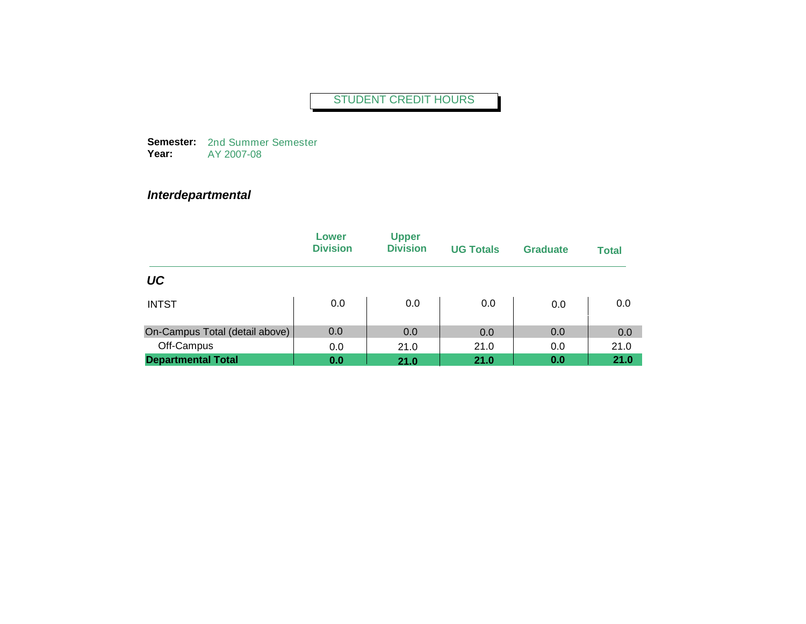**Semester:**  2nd Summer Semester **Year:** AY 2007-08

## *Interdepartmental*

|                                | Lower<br><b>Division</b> | <b>Upper</b><br><b>Division</b> | <b>UG Totals</b> | <b>Graduate</b> | <b>Total</b> |
|--------------------------------|--------------------------|---------------------------------|------------------|-----------------|--------------|
| UC                             |                          |                                 |                  |                 |              |
| <b>INTST</b>                   | 0.0                      | 0.0                             | 0.0              | 0.0             | 0.0          |
| On-Campus Total (detail above) | 0.0                      | 0.0                             | 0.0              | 0.0             | 0.0          |
| Off-Campus                     | 0.0                      | 21.0                            | 21.0             | 0.0             | 21.0         |
| <b>Departmental Total</b>      | 0.0                      | 21.0                            | 21.0             | 0.0             | 21.0         |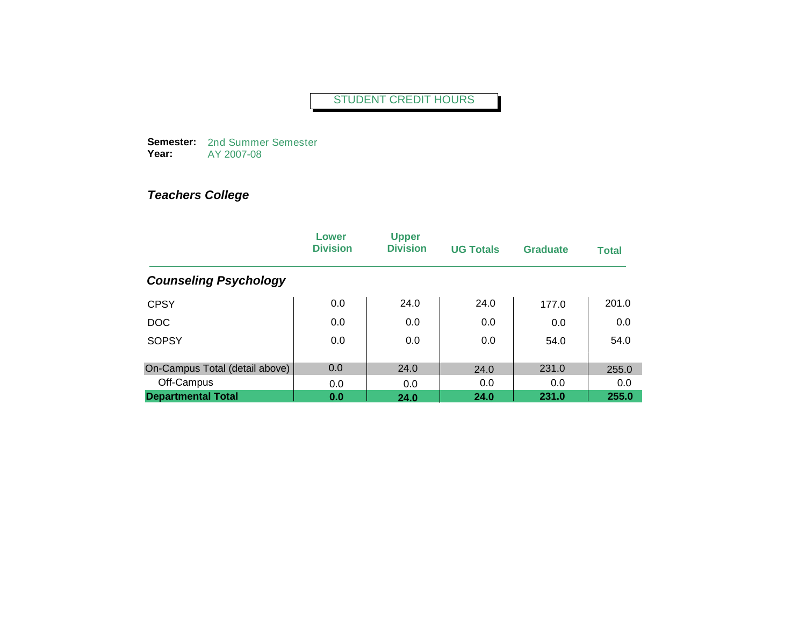**Semester:**  2nd Summer Semester **Year:** AY 2007-08

|                                | Lower<br><b>Division</b> | <b>Upper</b><br><b>Division</b> | <b>UG Totals</b> | <b>Graduate</b> | <b>Total</b> |
|--------------------------------|--------------------------|---------------------------------|------------------|-----------------|--------------|
| <b>Counseling Psychology</b>   |                          |                                 |                  |                 |              |
| <b>CPSY</b>                    | 0.0                      | 24.0                            | 24.0             | 177.0           | 201.0        |
| DOC                            | 0.0                      | 0.0                             | 0.0              | 0.0             | 0.0          |
| <b>SOPSY</b>                   | 0.0                      | 0.0                             | 0.0              | 54.0            | 54.0         |
| On-Campus Total (detail above) | 0.0                      | 24.0                            | 24.0             | 231.0           | 255.0        |
| Off-Campus                     | 0.0                      | 0.0                             | 0.0              | 0.0             | 0.0          |
| <b>Departmental Total</b>      | 0.0                      | 24.0                            | 24.0             | 231.0           | 255.0        |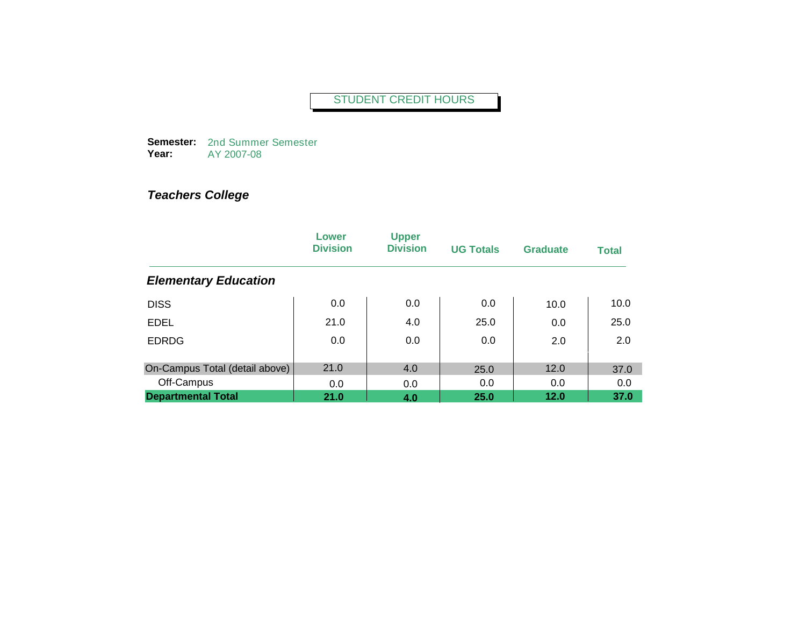**Semester:**  2nd Summer Semester **Year:** AY 2007-08

|                                | Lower<br><b>Division</b> | <b>Upper</b><br><b>Division</b> | <b>UG Totals</b> | <b>Graduate</b> | <b>Total</b> |
|--------------------------------|--------------------------|---------------------------------|------------------|-----------------|--------------|
| <b>Elementary Education</b>    |                          |                                 |                  |                 |              |
| <b>DISS</b>                    | 0.0                      | 0.0                             | 0.0              | 10.0            | 10.0         |
| <b>EDEL</b>                    | 21.0                     | 4.0                             | 25.0             | 0.0             | 25.0         |
| <b>EDRDG</b>                   | 0.0                      | 0.0                             | 0.0              | 2.0             | 2.0          |
| On-Campus Total (detail above) | 21.0                     | 4.0                             | 25.0             | 12.0            | 37.0         |
| Off-Campus                     | 0.0                      | 0.0                             | 0.0              | 0.0             | 0.0          |
| <b>Departmental Total</b>      | 21.0                     | 4.0                             | 25.0             | 12.0            | 37.0         |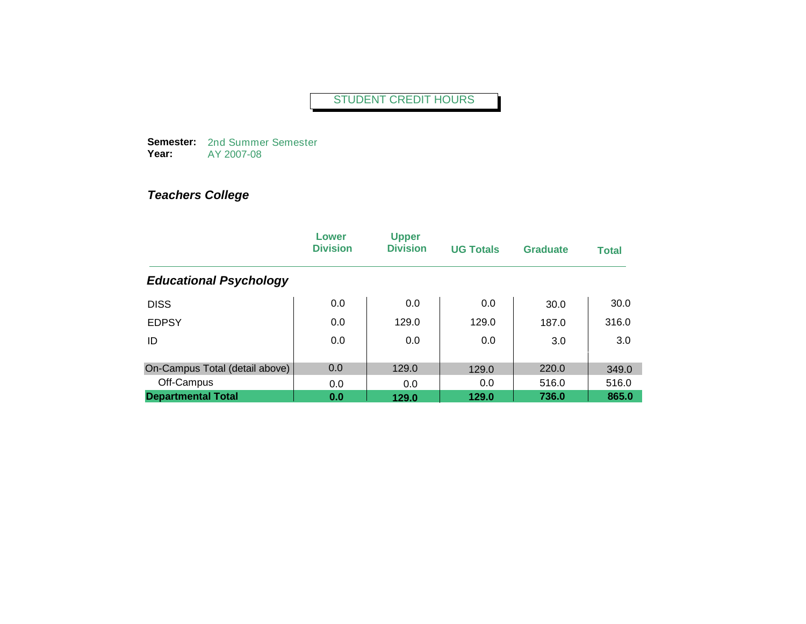**Semester:**  2nd Summer Semester **Year:** AY 2007-08

|                                | Lower<br><b>Division</b> | <b>Upper</b><br><b>Division</b> | <b>UG Totals</b> | Graduate | <b>Total</b> |
|--------------------------------|--------------------------|---------------------------------|------------------|----------|--------------|
| <b>Educational Psychology</b>  |                          |                                 |                  |          |              |
| <b>DISS</b>                    | 0.0                      | 0.0                             | 0.0              | 30.0     | 30.0         |
| <b>EDPSY</b>                   | 0.0                      | 129.0                           | 129.0            | 187.0    | 316.0        |
| ID                             | 0.0                      | 0.0                             | 0.0              | 3.0      | 3.0          |
| On-Campus Total (detail above) | 0.0                      | 129.0                           | 129.0            | 220.0    | 349.0        |
| Off-Campus                     | 0.0                      | 0.0                             | 0.0              | 516.0    | 516.0        |
| <b>Departmental Total</b>      | 0.0                      | 129.0                           | 129.0            | 736.0    | 865.0        |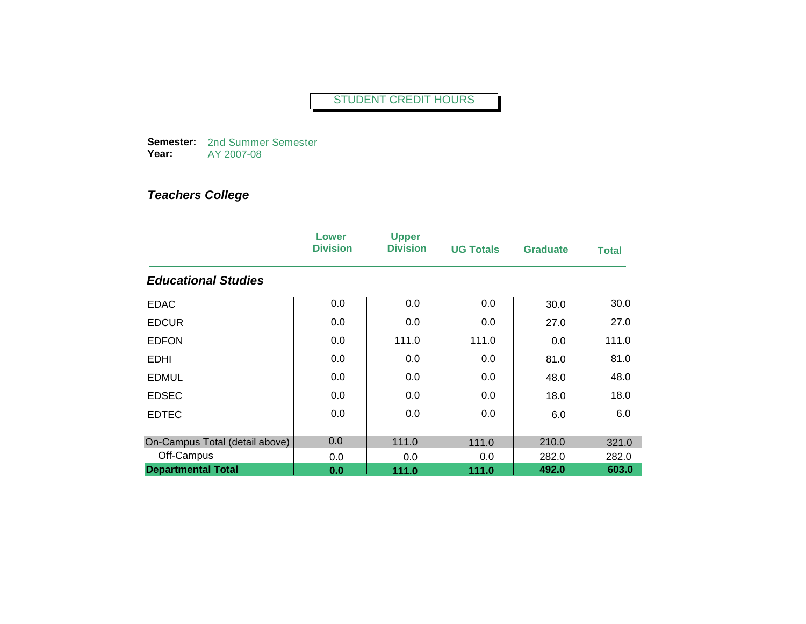**Semester:**  2nd Summer Semester **Year:** AY 2007-08

|                                | Lower<br><b>Division</b> | <b>Upper</b><br><b>Division</b> | <b>UG Totals</b> | <b>Graduate</b> | Total |
|--------------------------------|--------------------------|---------------------------------|------------------|-----------------|-------|
| <b>Educational Studies</b>     |                          |                                 |                  |                 |       |
| <b>EDAC</b>                    | 0.0                      | 0.0                             | 0.0              | 30.0            | 30.0  |
| <b>EDCUR</b>                   | 0.0                      | 0.0                             | 0.0              | 27.0            | 27.0  |
| <b>EDFON</b>                   | 0.0                      | 111.0                           | 111.0            | 0.0             | 111.0 |
| <b>EDHI</b>                    | 0.0                      | 0.0                             | 0.0              | 81.0            | 81.0  |
| <b>EDMUL</b>                   | 0.0                      | 0.0                             | 0.0              | 48.0            | 48.0  |
| <b>EDSEC</b>                   | 0.0                      | 0.0                             | 0.0              | 18.0            | 18.0  |
| <b>EDTEC</b>                   | 0.0                      | 0.0                             | 0.0              | 6.0             | 6.0   |
| On-Campus Total (detail above) | 0.0                      | 111.0                           | 111.0            | 210.0           | 321.0 |
| Off-Campus                     | 0.0                      | 0.0                             | 0.0              | 282.0           | 282.0 |
| <b>Departmental Total</b>      | 0.0                      | 111.0                           | 111.0            | 492.0           | 603.0 |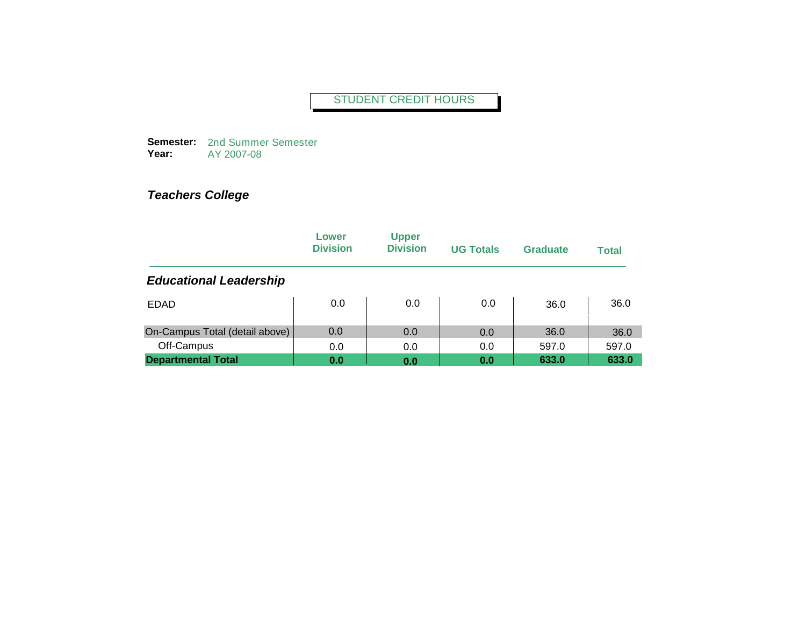**Semester:**  2nd Summer Semester **Year:** AY 2007-08

|                                | Lower<br><b>Division</b> | <b>Upper</b><br><b>Division</b> | <b>UG Totals</b> | <b>Graduate</b> | <b>Total</b> |
|--------------------------------|--------------------------|---------------------------------|------------------|-----------------|--------------|
| <b>Educational Leadership</b>  |                          |                                 |                  |                 |              |
| <b>EDAD</b>                    | 0.0                      | 0.0                             | 0.0              | 36.0            | 36.0         |
| On-Campus Total (detail above) | 0.0                      | 0.0                             | 0.0              | 36.0            | 36.0         |
| Off-Campus                     | 0.0                      | 0.0                             | 0.0              | 597.0           | 597.0        |
| <b>Departmental Total</b>      | 0.0                      | 0.0                             | 0.0              | 633.0           | 633.0        |